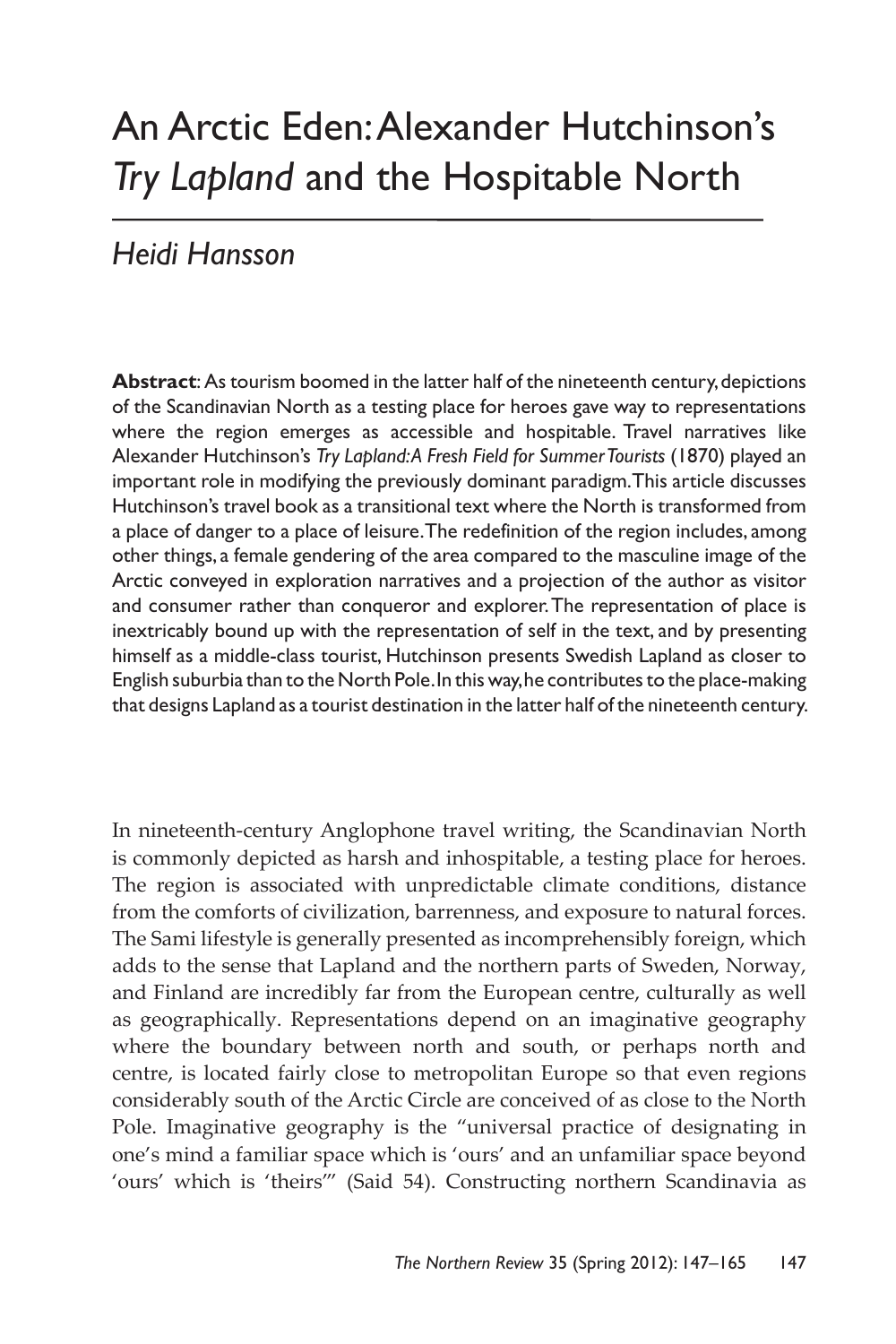# An Arctic Eden: Alexander Hutchinson's *Try Lapland* and the Hospitable North

## *Heidi Hansson*

**Abstract**: As tourism boomed in the latter half of the nineteenth century, depictions of the Scandinavian North as a testing place for heroes gave way to representations where the region emerges as accessible and hospitable. Travel narratives like Alexander Hutchinson's *Try Lapland: A Fresh Field for Summer Tourists* (1870) played an important role in modifying the previously dominant paradigm. This article discusses Hutchinson's travel book as a transitional text where the North is transformed from a place of danger to a place of leisure. The redefinition of the region includes, among other things, a female gendering of the area compared to the masculine image of the Arctic conveyed in exploration narratives and a projection of the author as visitor and consumer rather than conqueror and explorer. The representation of place is inextricably bound up with the representation of self in the text, and by presenting himself as a middle-class tourist, Hutchinson presents Swedish Lapland as closer to English suburbia than to the North Pole. In this way, he contributes to the place-making that designs Lapland as a tourist destination in the latter half of the nineteenth century.

In nineteenth-century Anglophone travel writing, the Scandinavian North is commonly depicted as harsh and inhospitable, a testing place for heroes. The region is associated with unpredictable climate conditions, distance from the comforts of civilization, barrenness, and exposure to natural forces. The Sami lifestyle is generally presented as incomprehensibly foreign, which adds to the sense that Lapland and the northern parts of Sweden, Norway, and Finland are incredibly far from the European centre, culturally as well as geographically. Representations depend on an imaginative geography where the boundary between north and south, or perhaps north and centre, is located fairly close to metropolitan Europe so that even regions considerably south of the Arctic Circle are conceived of as close to the North Pole. Imaginative geography is the "universal practice of designating in one's mind a familiar space which is 'ours' and an unfamiliar space beyond 'ours' which is 'theirs'" (Said 54). Constructing northern Scandinavia as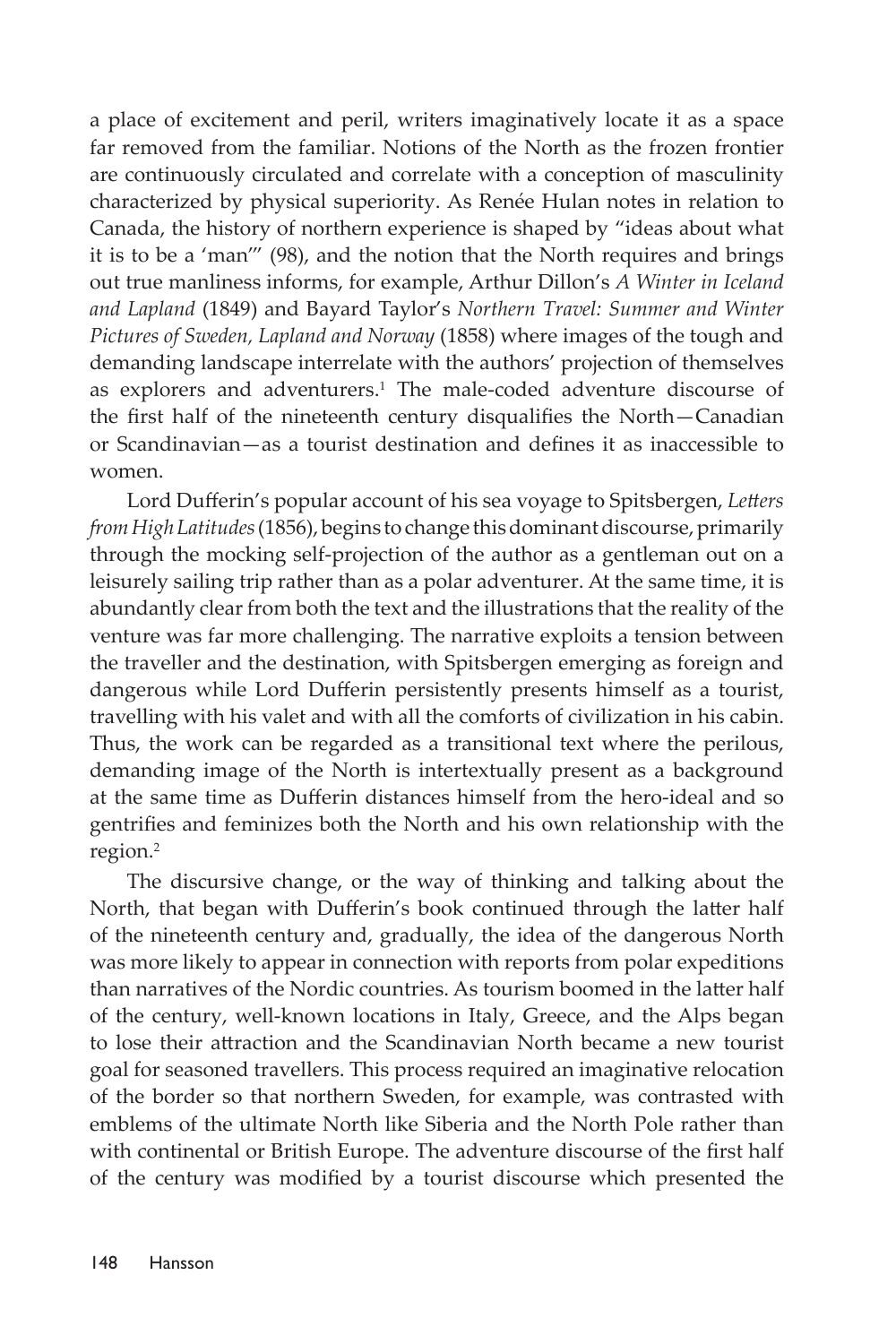a place of excitement and peril, writers imaginatively locate it as a space far removed from the familiar. Notions of the North as the frozen frontier are continuously circulated and correlate with a conception of masculinity characterized by physical superiority. As Renée Hulan notes in relation to Canada, the history of northern experience is shaped by "ideas about what it is to be a 'man'" (98), and the notion that the North requires and brings out true manliness informs, for example, Arthur Dillon's *A Winter in Iceland and Lapland* (1849) and Bayard Taylor's *Northern Travel: Summer and Winter Pictures of Sweden, Lapland and Norway* (1858) where images of the tough and demanding landscape interrelate with the authors' projection of themselves as explorers and adventurers.<sup>1</sup> The male-coded adventure discourse of the first half of the nineteenth century disqualifies the North—Canadian or Scandinavian—as a tourist destination and defines it as inaccessible to women.

Lord Dufferin's popular account of his sea voyage to Spitsbergen, *Letters from High Latitudes* (1856), begins to change this dominant discourse, primarily through the mocking self-projection of the author as a gentleman out on a leisurely sailing trip rather than as a polar adventurer. At the same time, it is abundantly clear from both the text and the illustrations that the reality of the venture was far more challenging. The narrative exploits a tension between the traveller and the destination, with Spitsbergen emerging as foreign and dangerous while Lord Dufferin persistently presents himself as a tourist, travelling with his valet and with all the comforts of civilization in his cabin. Thus, the work can be regarded as a transitional text where the perilous, demanding image of the North is intertextually present as a background at the same time as Dufferin distances himself from the hero-ideal and so gentrifies and feminizes both the North and his own relationship with the region.<sup>2</sup>

The discursive change, or the way of thinking and talking about the North, that began with Dufferin's book continued through the latter half of the nineteenth century and, gradually, the idea of the dangerous North was more likely to appear in connection with reports from polar expeditions than narratives of the Nordic countries. As tourism boomed in the latter half of the century, well-known locations in Italy, Greece, and the Alps began to lose their attraction and the Scandinavian North became a new tourist goal for seasoned travellers. This process required an imaginative relocation of the border so that northern Sweden, for example, was contrasted with emblems of the ultimate North like Siberia and the North Pole rather than with continental or British Europe. The adventure discourse of the first half of the century was modified by a tourist discourse which presented the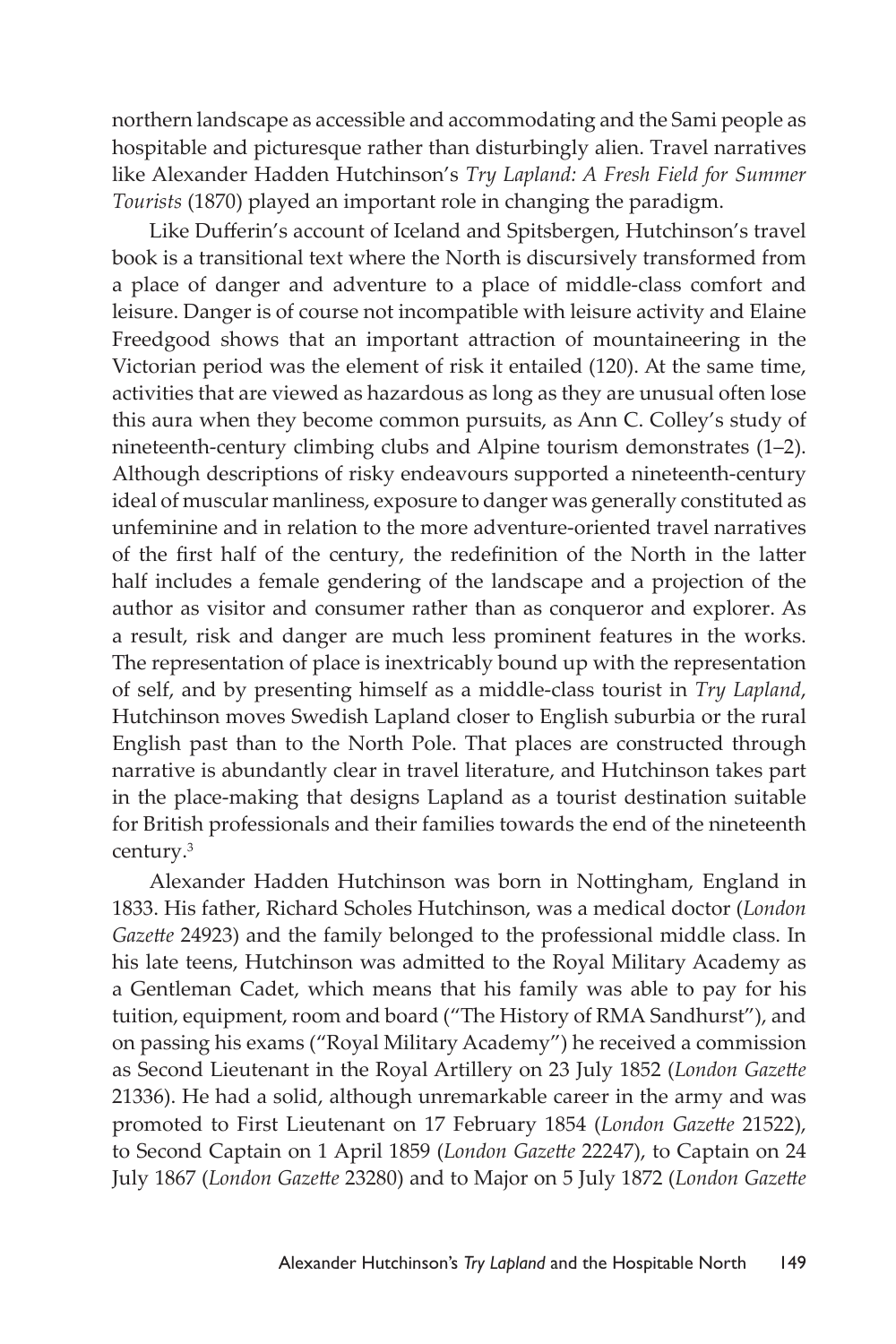northern landscape as accessible and accommodating and the Sami people as hospitable and picturesque rather than disturbingly alien. Travel narratives like Alexander Hadden Hutchinson's *Try Lapland: A Fresh Field for Summer Tourists* (1870) played an important role in changing the paradigm.

Like Dufferin's account of Iceland and Spitsbergen, Hutchinson's travel book is a transitional text where the North is discursively transformed from a place of danger and adventure to a place of middle-class comfort and leisure. Danger is of course not incompatible with leisure activity and Elaine Freedgood shows that an important attraction of mountaineering in the Victorian period was the element of risk it entailed (120). At the same time, activities that are viewed as hazardous as long as they are unusual often lose this aura when they become common pursuits, as Ann C. Colley's study of nineteenth-century climbing clubs and Alpine tourism demonstrates (1–2). Although descriptions of risky endeavours supported a nineteenth-century ideal of muscular manliness, exposure to danger was generally constituted as unfeminine and in relation to the more adventure-oriented travel narratives of the first half of the century, the redefinition of the North in the latter half includes a female gendering of the landscape and a projection of the author as visitor and consumer rather than as conqueror and explorer. As a result, risk and danger are much less prominent features in the works. The representation of place is inextricably bound up with the representation of self, and by presenting himself as a middle-class tourist in *Try Lapland*, Hutchinson moves Swedish Lapland closer to English suburbia or the rural English past than to the North Pole. That places are constructed through narrative is abundantly clear in travel literature, and Hutchinson takes part in the place-making that designs Lapland as a tourist destination suitable for British professionals and their families towards the end of the nineteenth century.<sup>3</sup>

Alexander Hadden Hutchinson was born in Nottingham, England in 1833. His father, Richard Scholes Hutchinson, was a medical doctor (*London Gazette* 24923) and the family belonged to the professional middle class. In his late teens, Hutchinson was admitted to the Royal Military Academy as a Gentleman Cadet, which means that his family was able to pay for his tuition, equipment, room and board ("The History of RMA Sandhurst"), and on passing his exams ("Royal Military Academy") he received a commission as Second Lieutenant in the Royal Artillery on 23 July 1852 (*London Gazette* 21336). He had a solid, although unremarkable career in the army and was promoted to First Lieutenant on 17 February 1854 (*London Gazette* 21522), to Second Captain on 1 April 1859 (*London Gazette* 22247), to Captain on 24 July 1867 (*London Gazette* 23280) and to Major on 5 July 1872 (*London Gazette*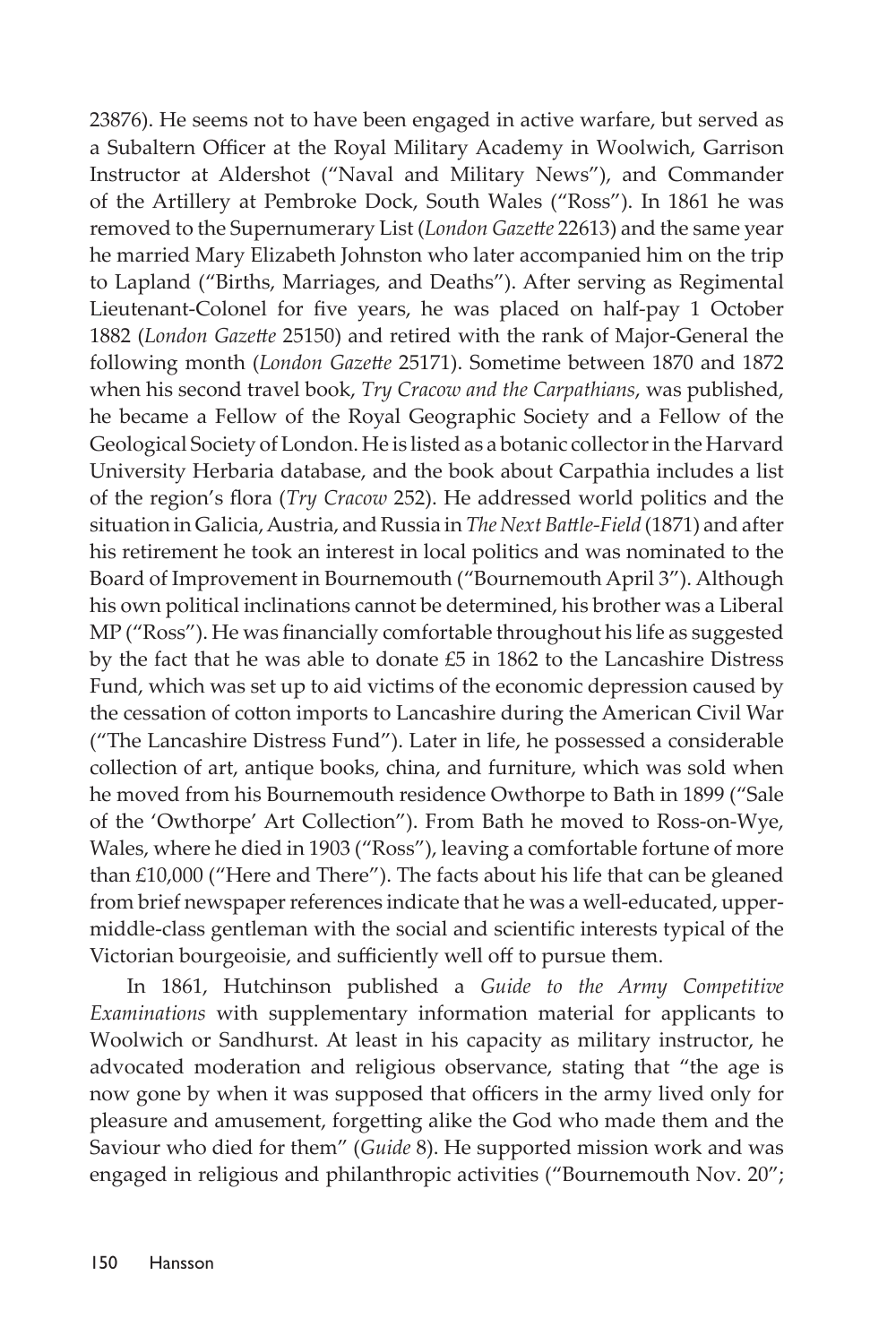23876). He seems not to have been engaged in active warfare, but served as a Subaltern Officer at the Royal Military Academy in Woolwich, Garrison Instructor at Aldershot ("Naval and Military News"), and Commander of the Artillery at Pembroke Dock, South Wales ("Ross"). In 1861 he was removed to the Supernumerary List (*London Gazette* 22613) and the same year he married Mary Elizabeth Johnston who later accompanied him on the trip to Lapland ("Births, Marriages, and Deaths"). After serving as Regimental Lieutenant-Colonel for five years, he was placed on half-pay 1 October 1882 (*London Gazette* 25150) and retired with the rank of Major-General the following month (*London Gazette* 25171). Sometime between 1870 and 1872 when his second travel book, *Try Cracow and the Carpathians*, was published, he became a Fellow of the Royal Geographic Society and a Fellow of the Geological Society of London. He is listed as a botanic collector in the Harvard University Herbaria database, and the book about Carpathia includes a list of the region's flora (*Try Cracow* 252). He addressed world politics and the situation in Galicia, Austria, and Russia in *The Next Battle-Field* (1871) and after his retirement he took an interest in local politics and was nominated to the Board of Improvement in Bournemouth ("Bournemouth April 3"). Although his own political inclinations cannot be determined, his brother was a Liberal MP ("Ross"). He was financially comfortable throughout his life as suggested by the fact that he was able to donate £5 in 1862 to the Lancashire Distress Fund, which was set up to aid victims of the economic depression caused by the cessation of cotton imports to Lancashire during the American Civil War ("The Lancashire Distress Fund"). Later in life, he possessed a considerable collection of art, antique books, china, and furniture, which was sold when he moved from his Bournemouth residence Owthorpe to Bath in 1899 ("Sale of the 'Owthorpe' Art Collection"). From Bath he moved to Ross-on-Wye, Wales, where he died in 1903 ("Ross"), leaving a comfortable fortune of more than £10,000 ("Here and There"). The facts about his life that can be gleaned from brief newspaper references indicate that he was a well-educated, uppermiddle-class gentleman with the social and scientific interests typical of the Victorian bourgeoisie, and sufficiently well off to pursue them.

In 1861, Hutchinson published a *Guide to the Army Competitive Examinations* with supplementary information material for applicants to Woolwich or Sandhurst. At least in his capacity as military instructor, he advocated moderation and religious observance, stating that "the age is now gone by when it was supposed that officers in the army lived only for pleasure and amusement, forgetting alike the God who made them and the Saviour who died for them" (*Guide* 8). He supported mission work and was engaged in religious and philanthropic activities ("Bournemouth Nov. 20";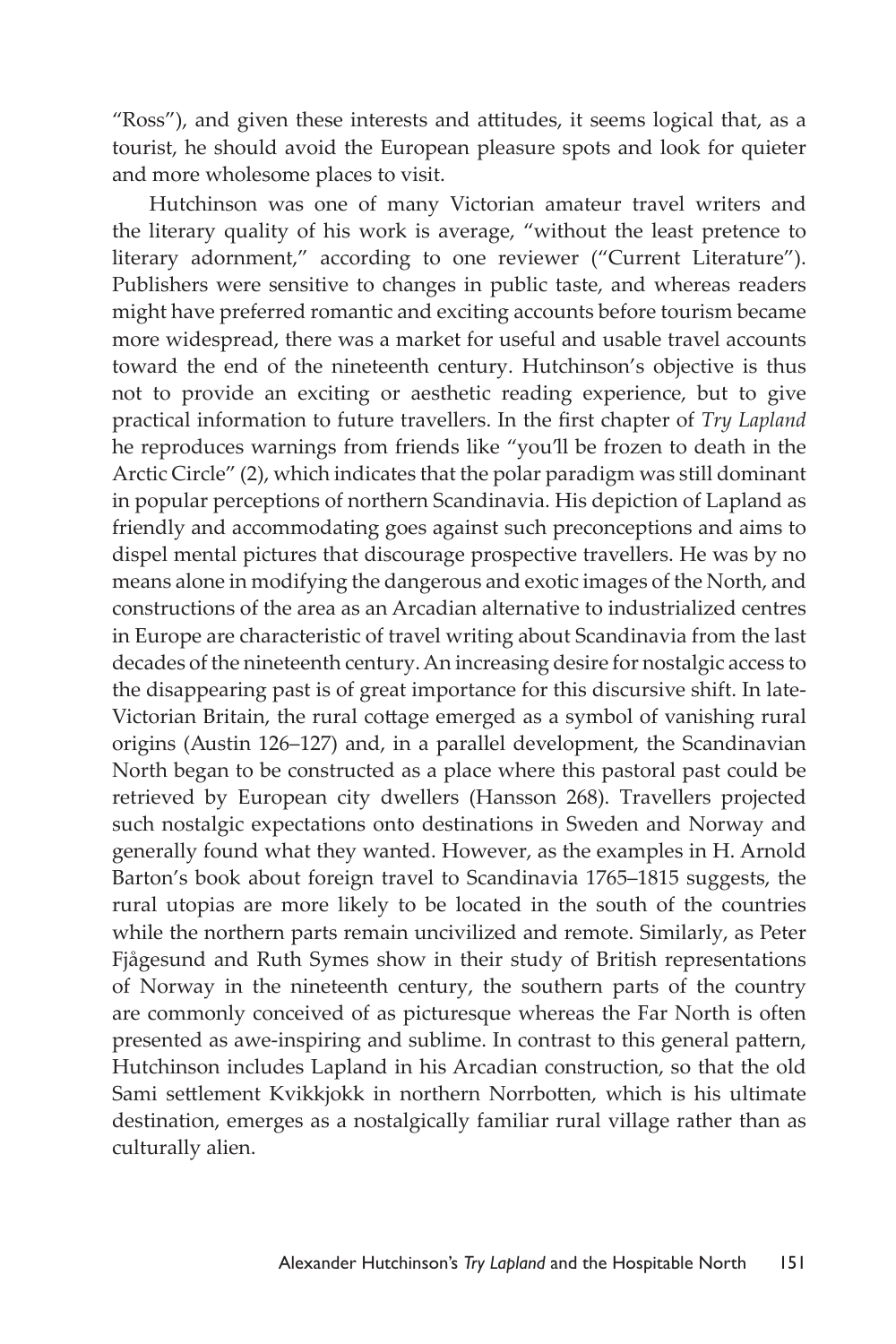"Ross"), and given these interests and attitudes, it seems logical that, as a tourist, he should avoid the European pleasure spots and look for quieter and more wholesome places to visit.

Hutchinson was one of many Victorian amateur travel writers and the literary quality of his work is average, "without the least pretence to literary adornment," according to one reviewer ("Current Literature"). Publishers were sensitive to changes in public taste, and whereas readers might have preferred romantic and exciting accounts before tourism became more widespread, there was a market for useful and usable travel accounts toward the end of the nineteenth century. Hutchinson's objective is thus not to provide an exciting or aesthetic reading experience, but to give practical information to future travellers. In the first chapter of *Try Lapland* he reproduces warnings from friends like "you'll be frozen to death in the Arctic Circle" (2), which indicates that the polar paradigm was still dominant in popular perceptions of northern Scandinavia. His depiction of Lapland as friendly and accommodating goes against such preconceptions and aims to dispel mental pictures that discourage prospective travellers. He was by no means alone in modifying the dangerous and exotic images of the North, and constructions of the area as an Arcadian alternative to industrialized centres in Europe are characteristic of travel writing about Scandinavia from the last decades of the nineteenth century. An increasing desire for nostalgic access to the disappearing past is of great importance for this discursive shift. In late-Victorian Britain, the rural cottage emerged as a symbol of vanishing rural origins (Austin 126–127) and, in a parallel development, the Scandinavian North began to be constructed as a place where this pastoral past could be retrieved by European city dwellers (Hansson 268). Travellers projected such nostalgic expectations onto destinations in Sweden and Norway and generally found what they wanted. However, as the examples in H. Arnold Barton's book about foreign travel to Scandinavia 1765–1815 suggests, the rural utopias are more likely to be located in the south of the countries while the northern parts remain uncivilized and remote. Similarly, as Peter Fjågesund and Ruth Symes show in their study of British representations of Norway in the nineteenth century, the southern parts of the country are commonly conceived of as picturesque whereas the Far North is often presented as awe-inspiring and sublime. In contrast to this general pattern, Hutchinson includes Lapland in his Arcadian construction, so that the old Sami settlement Kvikkjokk in northern Norrbotten, which is his ultimate destination, emerges as a nostalgically familiar rural village rather than as culturally alien.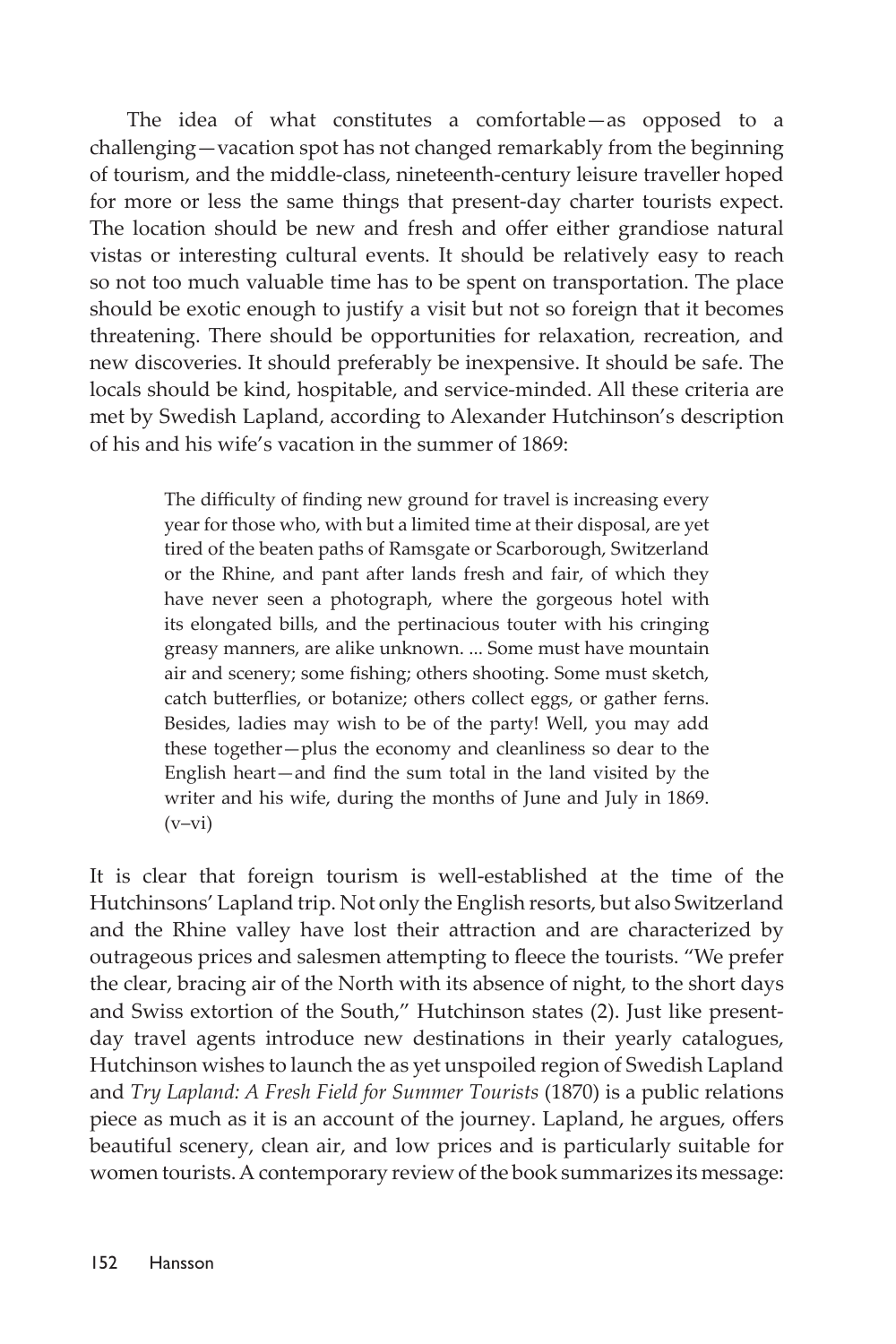The idea of what constitutes a comfortable—as opposed to a challenging—vacation spot has not changed remarkably from the beginning of tourism, and the middle-class, nineteenth-century leisure traveller hoped for more or less the same things that present-day charter tourists expect. The location should be new and fresh and offer either grandiose natural vistas or interesting cultural events. It should be relatively easy to reach so not too much valuable time has to be spent on transportation. The place should be exotic enough to justify a visit but not so foreign that it becomes threatening. There should be opportunities for relaxation, recreation, and new discoveries. It should preferably be inexpensive. It should be safe. The locals should be kind, hospitable, and service-minded. All these criteria are met by Swedish Lapland, according to Alexander Hutchinson's description of his and his wife's vacation in the summer of 1869:

> The difficulty of finding new ground for travel is increasing every year for those who, with but a limited time at their disposal, are yet tired of the beaten paths of Ramsgate or Scarborough, Switzerland or the Rhine, and pant after lands fresh and fair, of which they have never seen a photograph, where the gorgeous hotel with its elongated bills, and the pertinacious touter with his cringing greasy manners, are alike unknown. ... Some must have mountain air and scenery; some fishing; others shooting. Some must sketch, catch butterflies, or botanize; others collect eggs, or gather ferns. Besides, ladies may wish to be of the party! Well, you may add these together—plus the economy and cleanliness so dear to the English heart—and find the sum total in the land visited by the writer and his wife, during the months of June and July in 1869.  $(v-vi)$

It is clear that foreign tourism is well-established at the time of the Hutchinsons' Lapland trip. Not only the English resorts, but also Switzerland and the Rhine valley have lost their attraction and are characterized by outrageous prices and salesmen attempting to fleece the tourists. "We prefer the clear, bracing air of the North with its absence of night, to the short days and Swiss extortion of the South," Hutchinson states (2). Just like presentday travel agents introduce new destinations in their yearly catalogues, Hutchinson wishes to launch the as yet unspoiled region of Swedish Lapland and *Try Lapland: A Fresh Field for Summer Tourists* (1870) is a public relations piece as much as it is an account of the journey. Lapland, he argues, offers beautiful scenery, clean air, and low prices and is particularly suitable for women tourists. A contemporary review of the book summarizes its message: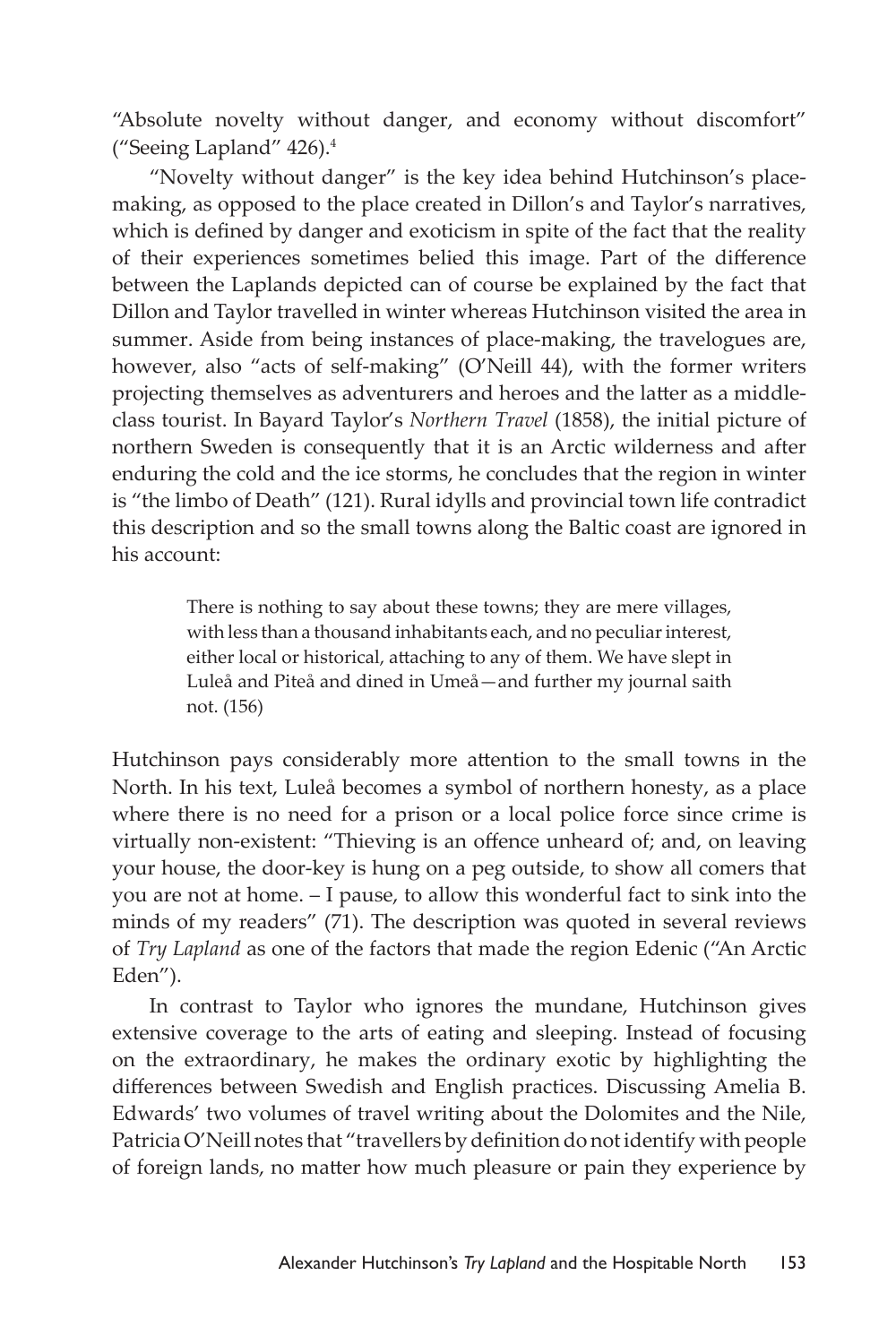"Absolute novelty without danger, and economy without discomfort" ("Seeing Lapland" 426).4

"Novelty without danger" is the key idea behind Hutchinson's placemaking, as opposed to the place created in Dillon's and Taylor's narratives, which is defined by danger and exoticism in spite of the fact that the reality of their experiences sometimes belied this image. Part of the difference between the Laplands depicted can of course be explained by the fact that Dillon and Taylor travelled in winter whereas Hutchinson visited the area in summer. Aside from being instances of place-making, the travelogues are, however, also "acts of self-making" (O'Neill 44), with the former writers projecting themselves as adventurers and heroes and the latter as a middleclass tourist. In Bayard Taylor's *Northern Travel* (1858), the initial picture of northern Sweden is consequently that it is an Arctic wilderness and after enduring the cold and the ice storms, he concludes that the region in winter is "the limbo of Death" (121). Rural idylls and provincial town life contradict this description and so the small towns along the Baltic coast are ignored in his account:

> There is nothing to say about these towns; they are mere villages, with less than a thousand inhabitants each, and no peculiar interest, either local or historical, attaching to any of them. We have slept in Luleå and Piteå and dined in Umeå—and further my journal saith not. (156)

Hutchinson pays considerably more attention to the small towns in the North. In his text, Luleå becomes a symbol of northern honesty, as a place where there is no need for a prison or a local police force since crime is virtually non-existent: "Thieving is an offence unheard of; and, on leaving your house, the door-key is hung on a peg outside, to show all comers that you are not at home. – I pause, to allow this wonderful fact to sink into the minds of my readers" (71). The description was quoted in several reviews of *Try Lapland* as one of the factors that made the region Edenic ("An Arctic Eden").

In contrast to Taylor who ignores the mundane, Hutchinson gives extensive coverage to the arts of eating and sleeping. Instead of focusing on the extraordinary, he makes the ordinary exotic by highlighting the differences between Swedish and English practices. Discussing Amelia B. Edwards' two volumes of travel writing about the Dolomites and the Nile, Patricia O'Neill notes that "travellers by definition do not identify with people of foreign lands, no matter how much pleasure or pain they experience by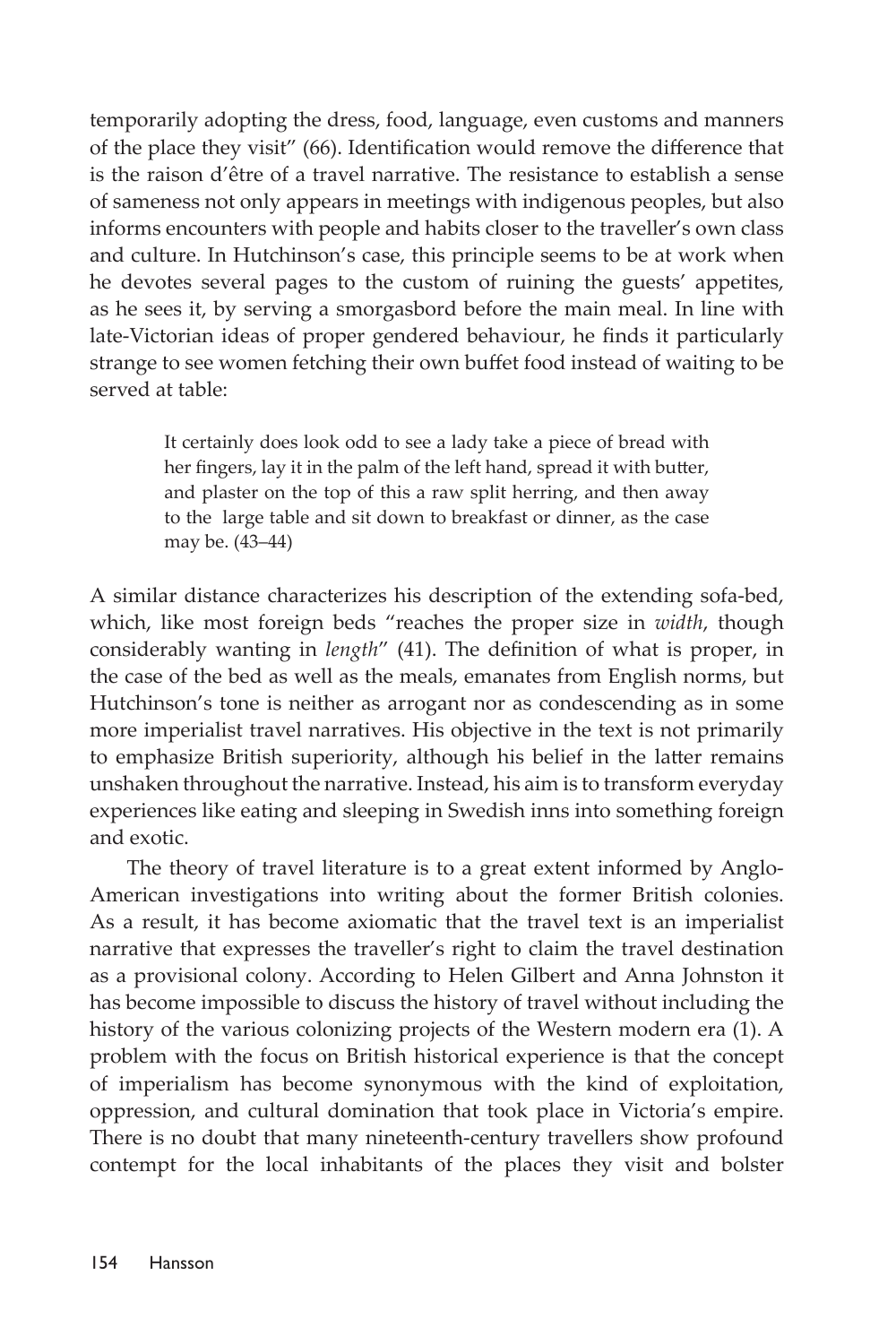temporarily adopting the dress, food, language, even customs and manners of the place they visit" (66). Identification would remove the difference that is the raison d'être of a travel narrative. The resistance to establish a sense of sameness not only appears in meetings with indigenous peoples, but also informs encounters with people and habits closer to the traveller's own class and culture. In Hutchinson's case, this principle seems to be at work when he devotes several pages to the custom of ruining the guests' appetites, as he sees it, by serving a smorgasbord before the main meal. In line with late-Victorian ideas of proper gendered behaviour, he finds it particularly strange to see women fetching their own buffet food instead of waiting to be served at table:

> It certainly does look odd to see a lady take a piece of bread with her fingers, lay it in the palm of the left hand, spread it with butter, and plaster on the top of this a raw split herring, and then away to the large table and sit down to breakfast or dinner, as the case may be. (43–44)

A similar distance characterizes his description of the extending sofa-bed, which, like most foreign beds "reaches the proper size in *width*, though considerably wanting in *length*" (41). The definition of what is proper, in the case of the bed as well as the meals, emanates from English norms, but Hutchinson's tone is neither as arrogant nor as condescending as in some more imperialist travel narratives. His objective in the text is not primarily to emphasize British superiority, although his belief in the latter remains unshaken throughout the narrative. Instead, his aim is to transform everyday experiences like eating and sleeping in Swedish inns into something foreign and exotic.

The theory of travel literature is to a great extent informed by Anglo-American investigations into writing about the former British colonies. As a result, it has become axiomatic that the travel text is an imperialist narrative that expresses the traveller's right to claim the travel destination as a provisional colony. According to Helen Gilbert and Anna Johnston it has become impossible to discuss the history of travel without including the history of the various colonizing projects of the Western modern era (1). A problem with the focus on British historical experience is that the concept of imperialism has become synonymous with the kind of exploitation, oppression, and cultural domination that took place in Victoria's empire. There is no doubt that many nineteenth-century travellers show profound contempt for the local inhabitants of the places they visit and bolster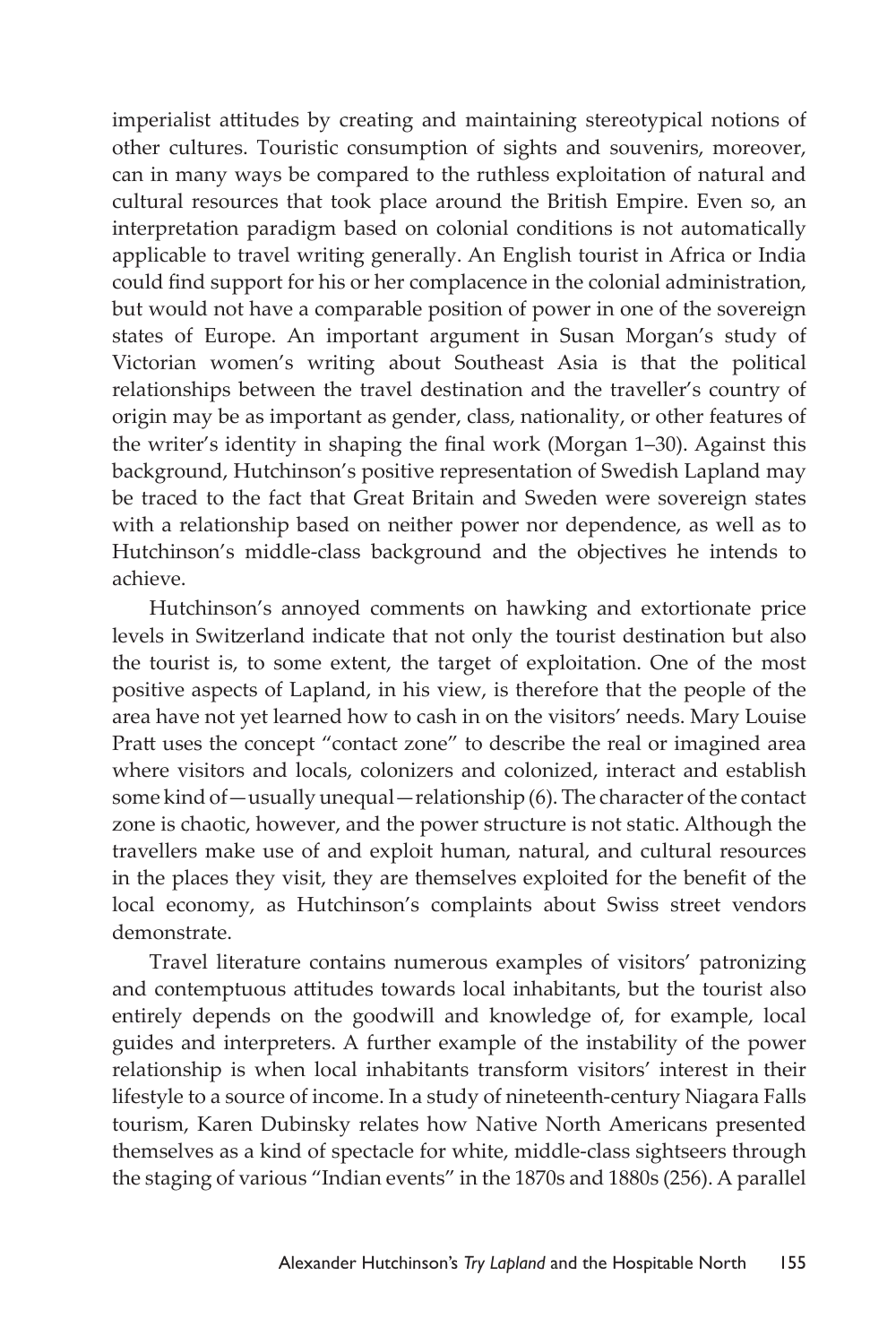imperialist attitudes by creating and maintaining stereotypical notions of other cultures. Touristic consumption of sights and souvenirs, moreover, can in many ways be compared to the ruthless exploitation of natural and cultural resources that took place around the British Empire. Even so, an interpretation paradigm based on colonial conditions is not automatically applicable to travel writing generally. An English tourist in Africa or India could find support for his or her complacence in the colonial administration, but would not have a comparable position of power in one of the sovereign states of Europe. An important argument in Susan Morgan's study of Victorian women's writing about Southeast Asia is that the political relationships between the travel destination and the traveller's country of origin may be as important as gender, class, nationality, or other features of the writer's identity in shaping the final work (Morgan 1–30). Against this background, Hutchinson's positive representation of Swedish Lapland may be traced to the fact that Great Britain and Sweden were sovereign states with a relationship based on neither power nor dependence, as well as to Hutchinson's middle-class background and the objectives he intends to achieve.

Hutchinson's annoyed comments on hawking and extortionate price levels in Switzerland indicate that not only the tourist destination but also the tourist is, to some extent, the target of exploitation. One of the most positive aspects of Lapland, in his view, is therefore that the people of the area have not yet learned how to cash in on the visitors' needs. Mary Louise Pratt uses the concept "contact zone" to describe the real or imagined area where visitors and locals, colonizers and colonized, interact and establish some kind of—usually unequal—relationship (6). The character of the contact zone is chaotic, however, and the power structure is not static. Although the travellers make use of and exploit human, natural, and cultural resources in the places they visit, they are themselves exploited for the benefit of the local economy, as Hutchinson's complaints about Swiss street vendors demonstrate.

Travel literature contains numerous examples of visitors' patronizing and contemptuous attitudes towards local inhabitants, but the tourist also entirely depends on the goodwill and knowledge of, for example, local guides and interpreters. A further example of the instability of the power relationship is when local inhabitants transform visitors' interest in their lifestyle to a source of income. In a study of nineteenth-century Niagara Falls tourism, Karen Dubinsky relates how Native North Americans presented themselves as a kind of spectacle for white, middle-class sightseers through the staging of various "Indian events" in the 1870s and 1880s (256). A parallel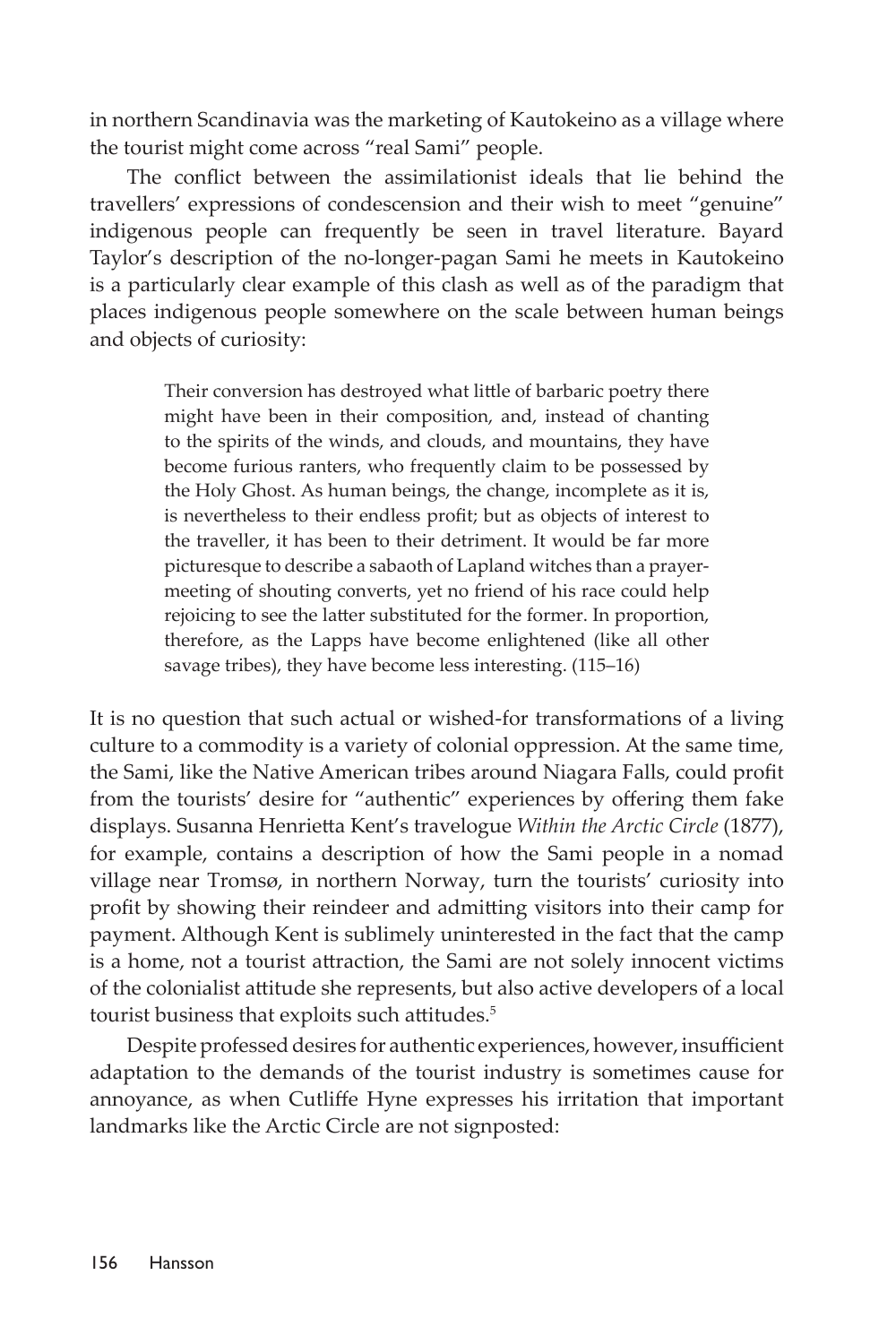in northern Scandinavia was the marketing of Kautokeino as a village where the tourist might come across "real Sami" people.

The conflict between the assimilationist ideals that lie behind the travellers' expressions of condescension and their wish to meet "genuine" indigenous people can frequently be seen in travel literature. Bayard Taylor's description of the no-longer-pagan Sami he meets in Kautokeino is a particularly clear example of this clash as well as of the paradigm that places indigenous people somewhere on the scale between human beings and objects of curiosity:

> Their conversion has destroyed what little of barbaric poetry there might have been in their composition, and, instead of chanting to the spirits of the winds, and clouds, and mountains, they have become furious ranters, who frequently claim to be possessed by the Holy Ghost. As human beings, the change, incomplete as it is, is nevertheless to their endless profit; but as objects of interest to the traveller, it has been to their detriment. It would be far more picturesque to describe a sabaoth of Lapland witches than a prayermeeting of shouting converts, yet no friend of his race could help rejoicing to see the latter substituted for the former. In proportion, therefore, as the Lapps have become enlightened (like all other savage tribes), they have become less interesting. (115–16)

It is no question that such actual or wished-for transformations of a living culture to a commodity is a variety of colonial oppression. At the same time, the Sami, like the Native American tribes around Niagara Falls, could profit from the tourists' desire for "authentic" experiences by offering them fake displays. Susanna Henrietta Kent's travelogue *Within the Arctic Circle* (1877), for example, contains a description of how the Sami people in a nomad village near Tromsø, in northern Norway, turn the tourists' curiosity into profit by showing their reindeer and admitting visitors into their camp for payment. Although Kent is sublimely uninterested in the fact that the camp is a home, not a tourist attraction, the Sami are not solely innocent victims of the colonialist attitude she represents, but also active developers of a local tourist business that exploits such attitudes.<sup>5</sup>

Despite professed desires for authentic experiences, however, insufficient adaptation to the demands of the tourist industry is sometimes cause for annoyance, as when Cutliffe Hyne expresses his irritation that important landmarks like the Arctic Circle are not signposted: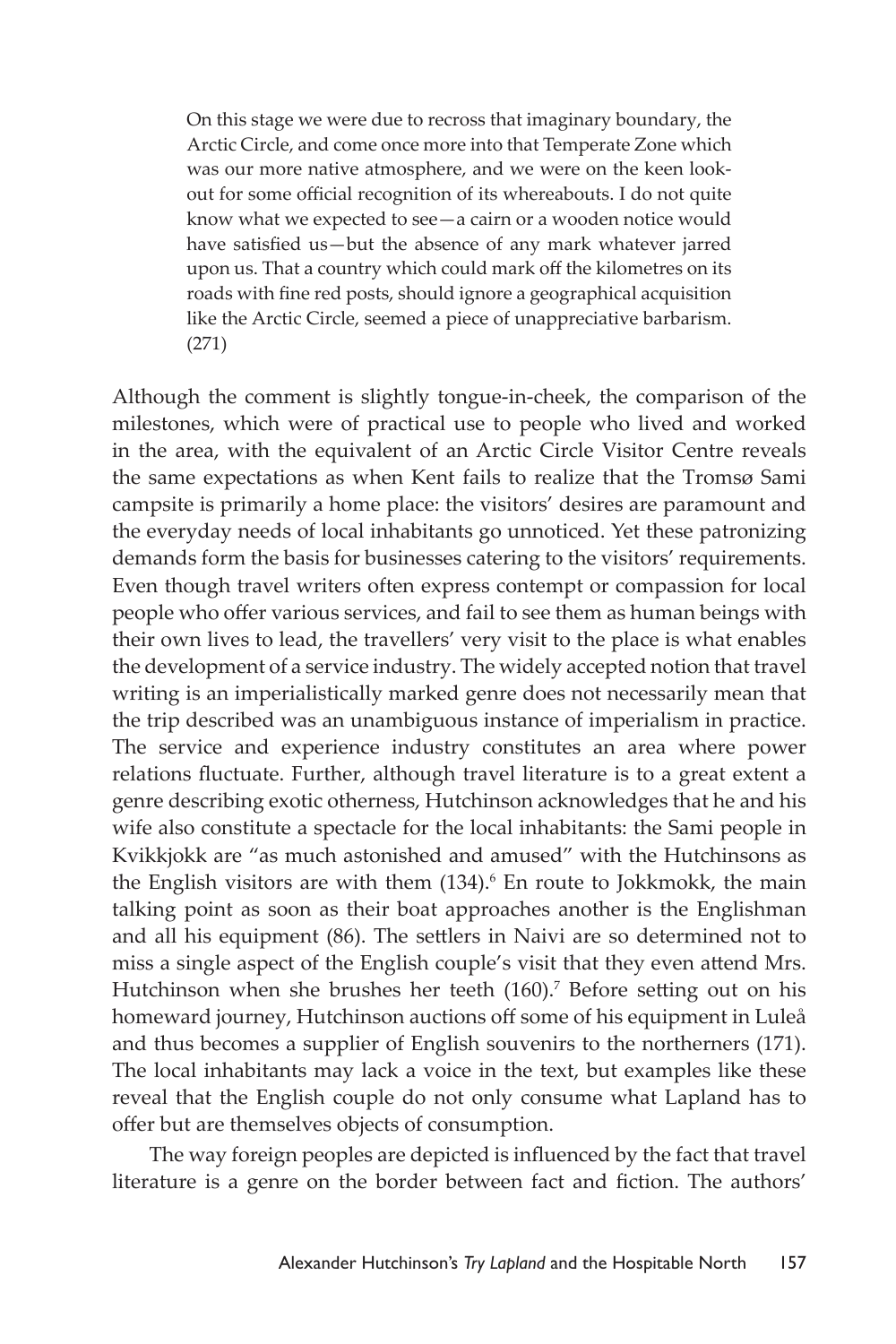On this stage we were due to recross that imaginary boundary, the Arctic Circle, and come once more into that Temperate Zone which was our more native atmosphere, and we were on the keen lookout for some official recognition of its whereabouts. I do not quite know what we expected to see—a cairn or a wooden notice would have satisfied us—but the absence of any mark whatever jarred upon us. That a country which could mark off the kilometres on its roads with fine red posts, should ignore a geographical acquisition like the Arctic Circle, seemed a piece of unappreciative barbarism. (271)

Although the comment is slightly tongue-in-cheek, the comparison of the milestones, which were of practical use to people who lived and worked in the area, with the equivalent of an Arctic Circle Visitor Centre reveals the same expectations as when Kent fails to realize that the Tromsø Sami campsite is primarily a home place: the visitors' desires are paramount and the everyday needs of local inhabitants go unnoticed. Yet these patronizing demands form the basis for businesses catering to the visitors' requirements. Even though travel writers often express contempt or compassion for local people who offer various services, and fail to see them as human beings with their own lives to lead, the travellers' very visit to the place is what enables the development of a service industry. The widely accepted notion that travel writing is an imperialistically marked genre does not necessarily mean that the trip described was an unambiguous instance of imperialism in practice. The service and experience industry constitutes an area where power relations fluctuate. Further, although travel literature is to a great extent a genre describing exotic otherness, Hutchinson acknowledges that he and his wife also constitute a spectacle for the local inhabitants: the Sami people in Kvikkjokk are "as much astonished and amused" with the Hutchinsons as the English visitors are with them (134).<sup>6</sup> En route to Jokkmokk, the main talking point as soon as their boat approaches another is the Englishman and all his equipment (86). The settlers in Naivi are so determined not to miss a single aspect of the English couple's visit that they even attend Mrs. Hutchinson when she brushes her teeth (160).<sup>7</sup> Before setting out on his homeward journey, Hutchinson auctions off some of his equipment in Luleå and thus becomes a supplier of English souvenirs to the northerners (171). The local inhabitants may lack a voice in the text, but examples like these reveal that the English couple do not only consume what Lapland has to offer but are themselves objects of consumption.

The way foreign peoples are depicted is influenced by the fact that travel literature is a genre on the border between fact and fiction. The authors'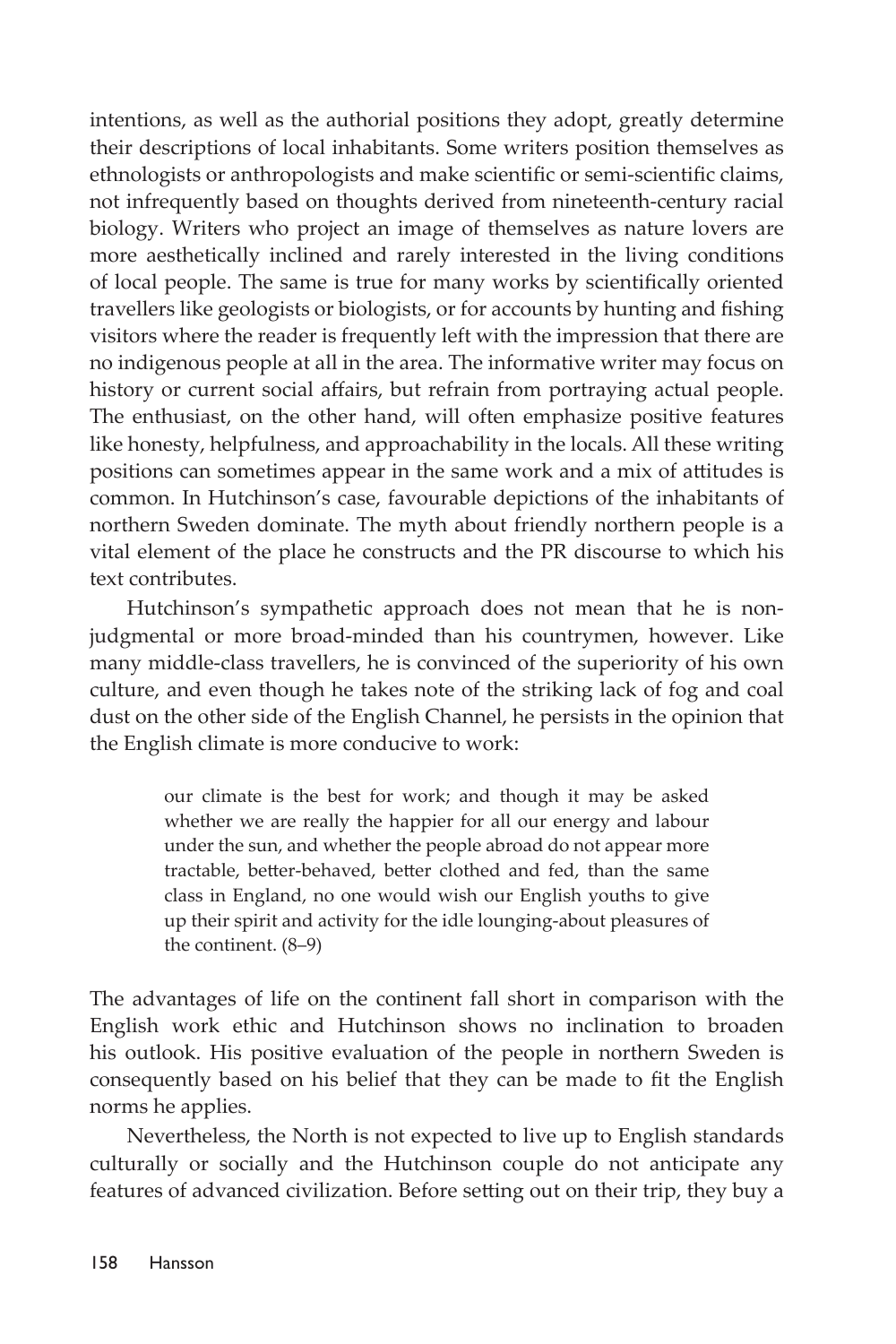intentions, as well as the authorial positions they adopt, greatly determine their descriptions of local inhabitants. Some writers position themselves as ethnologists or anthropologists and make scientific or semi-scientific claims, not infrequently based on thoughts derived from nineteenth-century racial biology. Writers who project an image of themselves as nature lovers are more aesthetically inclined and rarely interested in the living conditions of local people. The same is true for many works by scientifically oriented travellers like geologists or biologists, or for accounts by hunting and fishing visitors where the reader is frequently left with the impression that there are no indigenous people at all in the area. The informative writer may focus on history or current social affairs, but refrain from portraying actual people. The enthusiast, on the other hand, will often emphasize positive features like honesty, helpfulness, and approachability in the locals. All these writing positions can sometimes appear in the same work and a mix of attitudes is common. In Hutchinson's case, favourable depictions of the inhabitants of northern Sweden dominate. The myth about friendly northern people is a vital element of the place he constructs and the PR discourse to which his text contributes.

Hutchinson's sympathetic approach does not mean that he is nonjudgmental or more broad-minded than his countrymen, however. Like many middle-class travellers, he is convinced of the superiority of his own culture, and even though he takes note of the striking lack of fog and coal dust on the other side of the English Channel, he persists in the opinion that the English climate is more conducive to work:

> our climate is the best for work; and though it may be asked whether we are really the happier for all our energy and labour under the sun, and whether the people abroad do not appear more tractable, better-behaved, better clothed and fed, than the same class in England, no one would wish our English youths to give up their spirit and activity for the idle lounging-about pleasures of the continent. (8–9)

The advantages of life on the continent fall short in comparison with the English work ethic and Hutchinson shows no inclination to broaden his outlook. His positive evaluation of the people in northern Sweden is consequently based on his belief that they can be made to fit the English norms he applies.

Nevertheless, the North is not expected to live up to English standards culturally or socially and the Hutchinson couple do not anticipate any features of advanced civilization. Before setting out on their trip, they buy a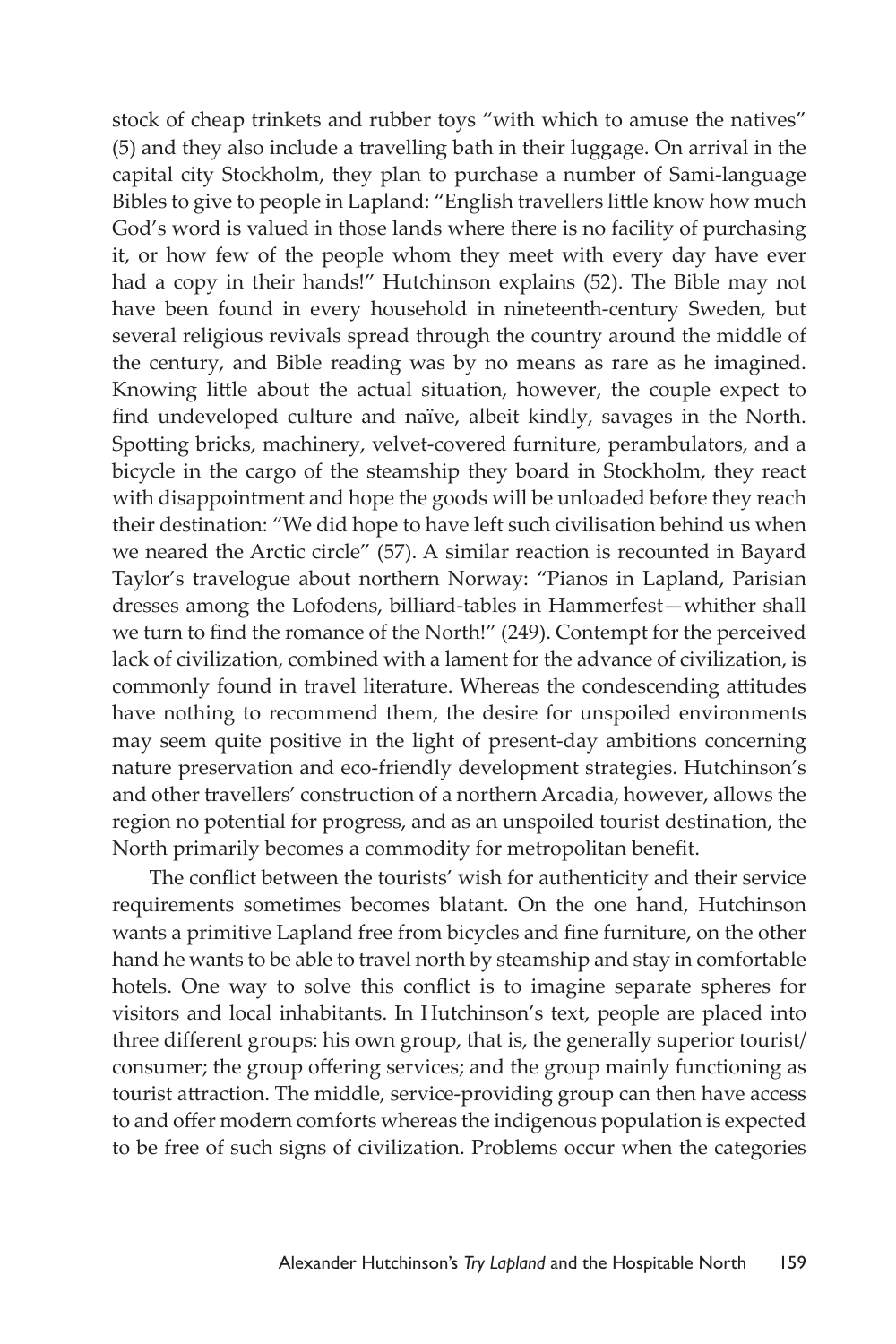stock of cheap trinkets and rubber toys "with which to amuse the natives" (5) and they also include a travelling bath in their luggage. On arrival in the capital city Stockholm, they plan to purchase a number of Sami-language Bibles to give to people in Lapland: "English travellers little know how much God's word is valued in those lands where there is no facility of purchasing it, or how few of the people whom they meet with every day have ever had a copy in their hands!" Hutchinson explains (52). The Bible may not have been found in every household in nineteenth-century Sweden, but several religious revivals spread through the country around the middle of the century, and Bible reading was by no means as rare as he imagined. Knowing little about the actual situation, however, the couple expect to find undeveloped culture and naïve, albeit kindly, savages in the North. Spotting bricks, machinery, velvet-covered furniture, perambulators, and a bicycle in the cargo of the steamship they board in Stockholm, they react with disappointment and hope the goods will be unloaded before they reach their destination: "We did hope to have left such civilisation behind us when we neared the Arctic circle" (57). A similar reaction is recounted in Bayard Taylor's travelogue about northern Norway: "Pianos in Lapland, Parisian dresses among the Lofodens, billiard-tables in Hammerfest—whither shall we turn to find the romance of the North!" (249). Contempt for the perceived lack of civilization, combined with a lament for the advance of civilization, is commonly found in travel literature. Whereas the condescending attitudes have nothing to recommend them, the desire for unspoiled environments may seem quite positive in the light of present-day ambitions concerning nature preservation and eco-friendly development strategies. Hutchinson's and other travellers' construction of a northern Arcadia, however, allows the region no potential for progress, and as an unspoiled tourist destination, the North primarily becomes a commodity for metropolitan benefit.

The conflict between the tourists' wish for authenticity and their service requirements sometimes becomes blatant. On the one hand, Hutchinson wants a primitive Lapland free from bicycles and fine furniture, on the other hand he wants to be able to travel north by steamship and stay in comfortable hotels. One way to solve this conflict is to imagine separate spheres for visitors and local inhabitants. In Hutchinson's text, people are placed into three different groups: his own group, that is, the generally superior tourist/ consumer; the group offering services; and the group mainly functioning as tourist attraction. The middle, service-providing group can then have access to and offer modern comforts whereas the indigenous population is expected to be free of such signs of civilization. Problems occur when the categories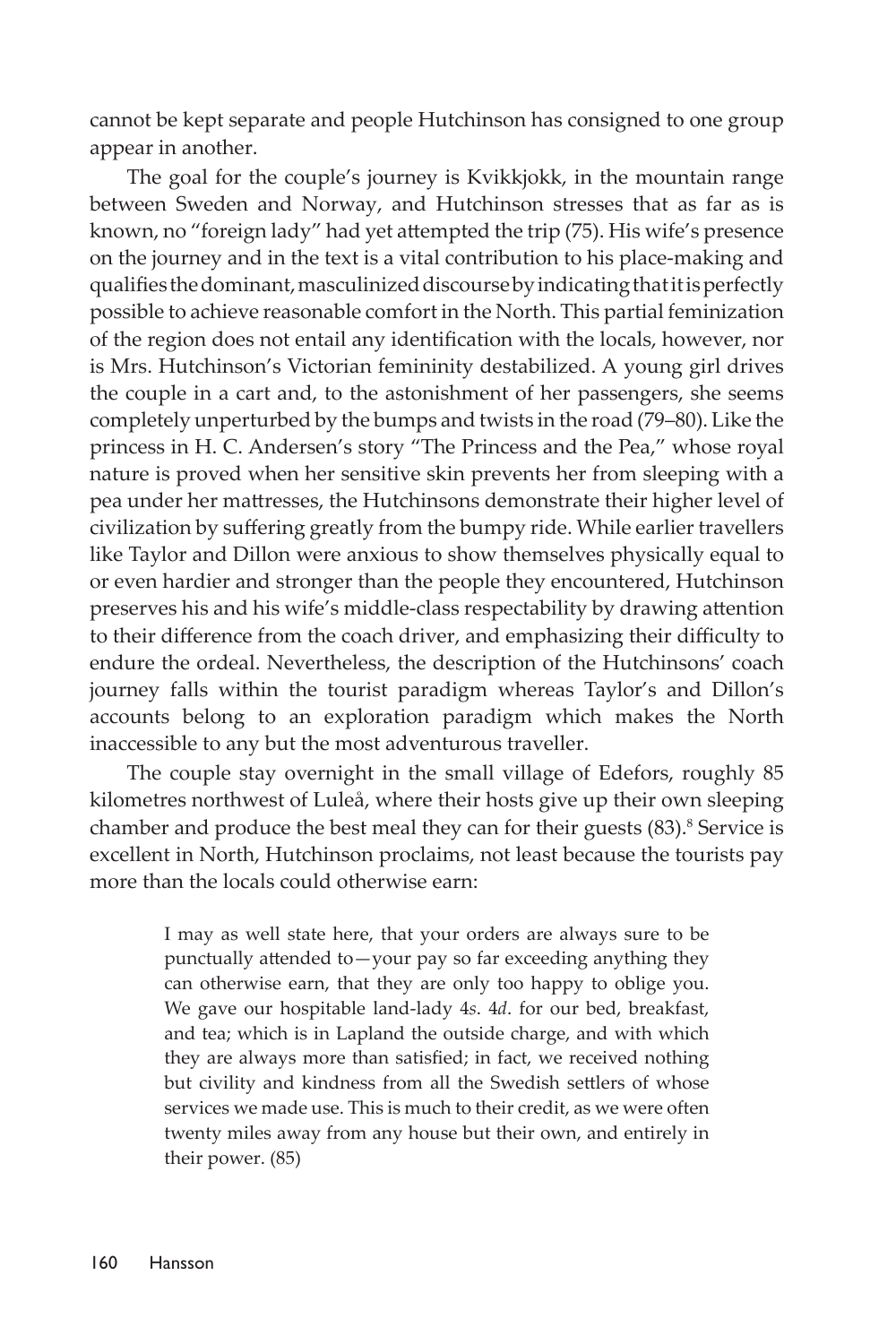cannot be kept separate and people Hutchinson has consigned to one group appear in another.

The goal for the couple's journey is Kvikkjokk, in the mountain range between Sweden and Norway, and Hutchinson stresses that as far as is known, no "foreign lady" had yet attempted the trip (75). His wife's presence on the journey and in the text is a vital contribution to his place-making and qualifies the dominant, masculinized discourse by indicating that it is perfectly possible to achieve reasonable comfort in the North. This partial feminization of the region does not entail any identification with the locals, however, nor is Mrs. Hutchinson's Victorian femininity destabilized. A young girl drives the couple in a cart and, to the astonishment of her passengers, she seems completely unperturbed by the bumps and twists in the road (79–80). Like the princess in H. C. Andersen's story "The Princess and the Pea," whose royal nature is proved when her sensitive skin prevents her from sleeping with a pea under her mattresses, the Hutchinsons demonstrate their higher level of civilization by suffering greatly from the bumpy ride. While earlier travellers like Taylor and Dillon were anxious to show themselves physically equal to or even hardier and stronger than the people they encountered, Hutchinson preserves his and his wife's middle-class respectability by drawing attention to their difference from the coach driver, and emphasizing their difficulty to endure the ordeal. Nevertheless, the description of the Hutchinsons' coach journey falls within the tourist paradigm whereas Taylor's and Dillon's accounts belong to an exploration paradigm which makes the North inaccessible to any but the most adventurous traveller.

The couple stay overnight in the small village of Edefors, roughly 85 kilometres northwest of Luleå, where their hosts give up their own sleeping chamber and produce the best meal they can for their guests (83).<sup>8</sup> Service is excellent in North, Hutchinson proclaims, not least because the tourists pay more than the locals could otherwise earn:

> I may as well state here, that your orders are always sure to be punctually attended to—your pay so far exceeding anything they can otherwise earn, that they are only too happy to oblige you. We gave our hospitable land-lady 4*s*. 4*d*. for our bed, breakfast, and tea; which is in Lapland the outside charge, and with which they are always more than satisfied; in fact, we received nothing but civility and kindness from all the Swedish settlers of whose services we made use. This is much to their credit, as we were often twenty miles away from any house but their own, and entirely in their power. (85)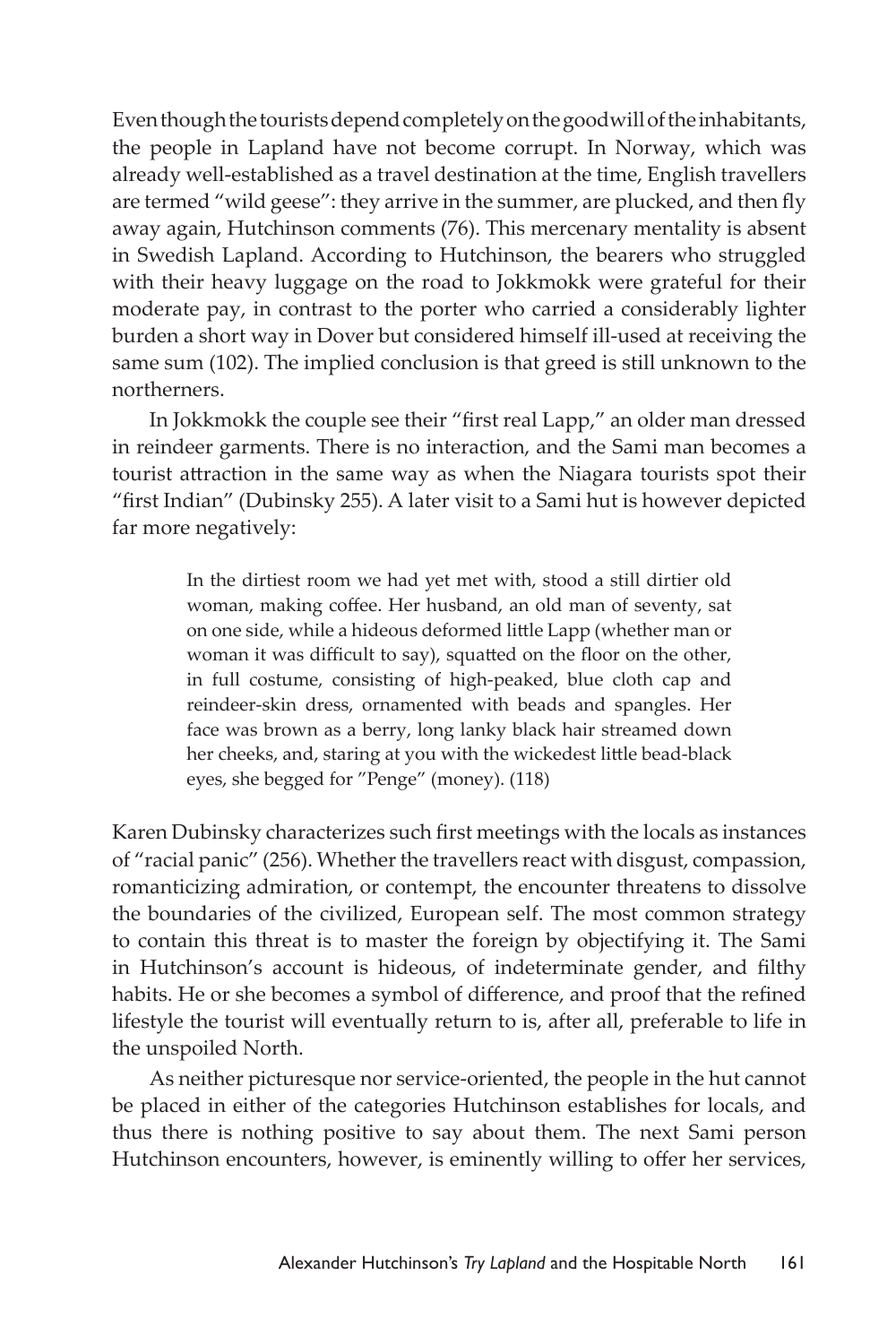Even though the tourists depend completely on the goodwill of the inhabitants, the people in Lapland have not become corrupt. In Norway, which was already well-established as a travel destination at the time, English travellers are termed "wild geese": they arrive in the summer, are plucked, and then fly away again, Hutchinson comments (76). This mercenary mentality is absent in Swedish Lapland. According to Hutchinson, the bearers who struggled with their heavy luggage on the road to Jokkmokk were grateful for their moderate pay, in contrast to the porter who carried a considerably lighter burden a short way in Dover but considered himself ill-used at receiving the same sum (102). The implied conclusion is that greed is still unknown to the northerners.

In Jokkmokk the couple see their "first real Lapp," an older man dressed in reindeer garments. There is no interaction, and the Sami man becomes a tourist attraction in the same way as when the Niagara tourists spot their "first Indian" (Dubinsky 255). A later visit to a Sami hut is however depicted far more negatively:

> In the dirtiest room we had yet met with, stood a still dirtier old woman, making coffee. Her husband, an old man of seventy, sat on one side, while a hideous deformed little Lapp (whether man or woman it was difficult to say), squatted on the floor on the other, in full costume, consisting of high-peaked, blue cloth cap and reindeer-skin dress, ornamented with beads and spangles. Her face was brown as a berry, long lanky black hair streamed down her cheeks, and, staring at you with the wickedest little bead-black eyes, she begged for "Penge" (money). (118)

Karen Dubinsky characterizes such first meetings with the locals as instances of "racial panic" (256). Whether the travellers react with disgust, compassion, romanticizing admiration, or contempt, the encounter threatens to dissolve the boundaries of the civilized, European self. The most common strategy to contain this threat is to master the foreign by objectifying it. The Sami in Hutchinson's account is hideous, of indeterminate gender, and filthy habits. He or she becomes a symbol of difference, and proof that the refined lifestyle the tourist will eventually return to is, after all, preferable to life in the unspoiled North.

As neither picturesque nor service-oriented, the people in the hut cannot be placed in either of the categories Hutchinson establishes for locals, and thus there is nothing positive to say about them. The next Sami person Hutchinson encounters, however, is eminently willing to offer her services,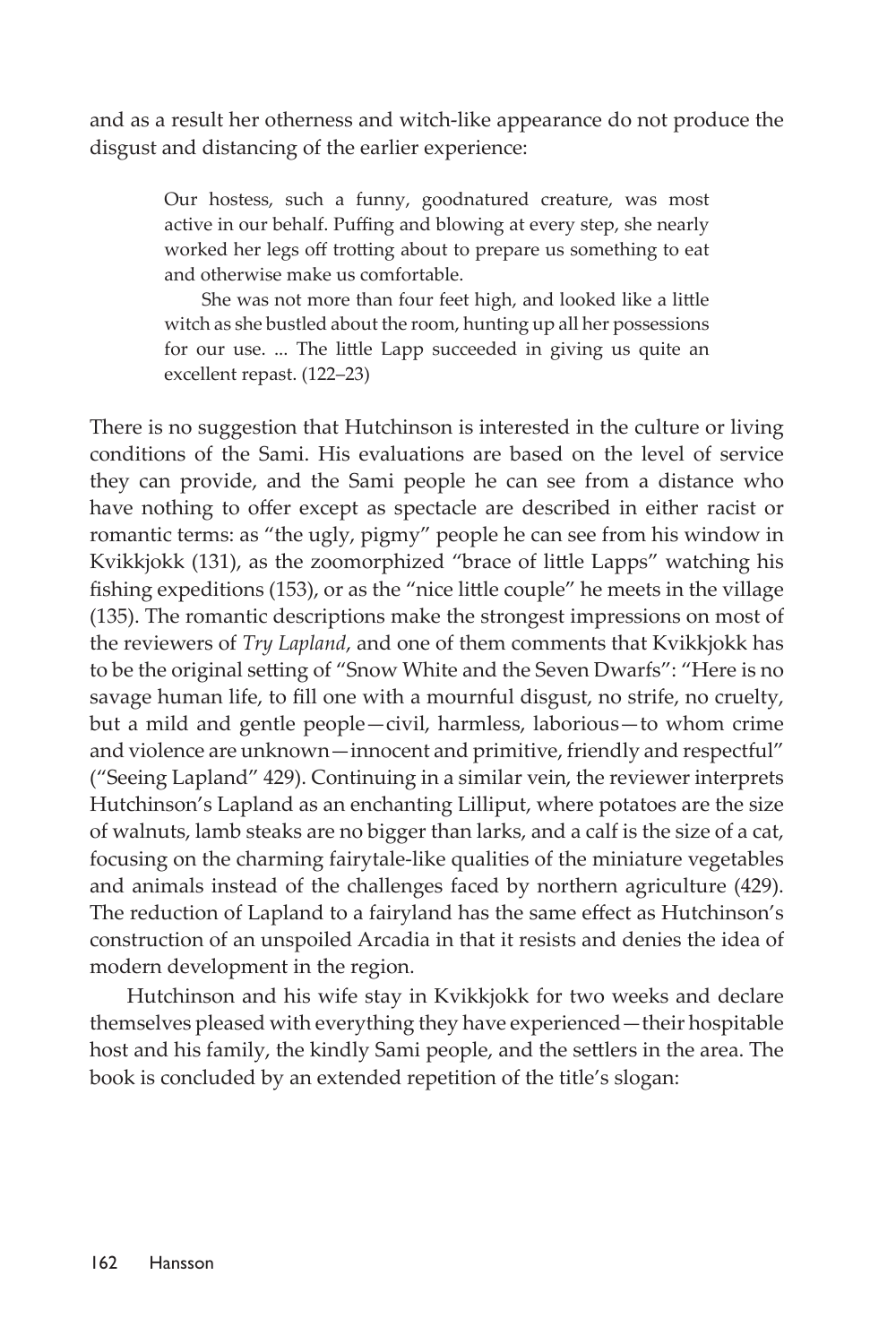and as a result her otherness and witch-like appearance do not produce the disgust and distancing of the earlier experience:

> Our hostess, such a funny, goodnatured creature, was most active in our behalf. Puffing and blowing at every step, she nearly worked her legs off trotting about to prepare us something to eat and otherwise make us comfortable.

> She was not more than four feet high, and looked like a little witch as she bustled about the room, hunting up all her possessions for our use. ... The little Lapp succeeded in giving us quite an excellent repast. (122–23)

There is no suggestion that Hutchinson is interested in the culture or living conditions of the Sami. His evaluations are based on the level of service they can provide, and the Sami people he can see from a distance who have nothing to offer except as spectacle are described in either racist or romantic terms: as "the ugly, pigmy" people he can see from his window in Kvikkjokk (131), as the zoomorphized "brace of little Lapps" watching his fishing expeditions (153), or as the "nice little couple" he meets in the village (135). The romantic descriptions make the strongest impressions on most of the reviewers of *Try Lapland*, and one of them comments that Kvikkjokk has to be the original setting of "Snow White and the Seven Dwarfs": "Here is no savage human life, to fill one with a mournful disgust, no strife, no cruelty, but a mild and gentle people—civil, harmless, laborious—to whom crime and violence are unknown—innocent and primitive, friendly and respectful" ("Seeing Lapland" 429). Continuing in a similar vein, the reviewer interprets Hutchinson's Lapland as an enchanting Lilliput, where potatoes are the size of walnuts, lamb steaks are no bigger than larks, and a calf is the size of a cat, focusing on the charming fairytale-like qualities of the miniature vegetables and animals instead of the challenges faced by northern agriculture (429). The reduction of Lapland to a fairyland has the same effect as Hutchinson's construction of an unspoiled Arcadia in that it resists and denies the idea of modern development in the region.

Hutchinson and his wife stay in Kvikkjokk for two weeks and declare themselves pleased with everything they have experienced—their hospitable host and his family, the kindly Sami people, and the settlers in the area. The book is concluded by an extended repetition of the title's slogan: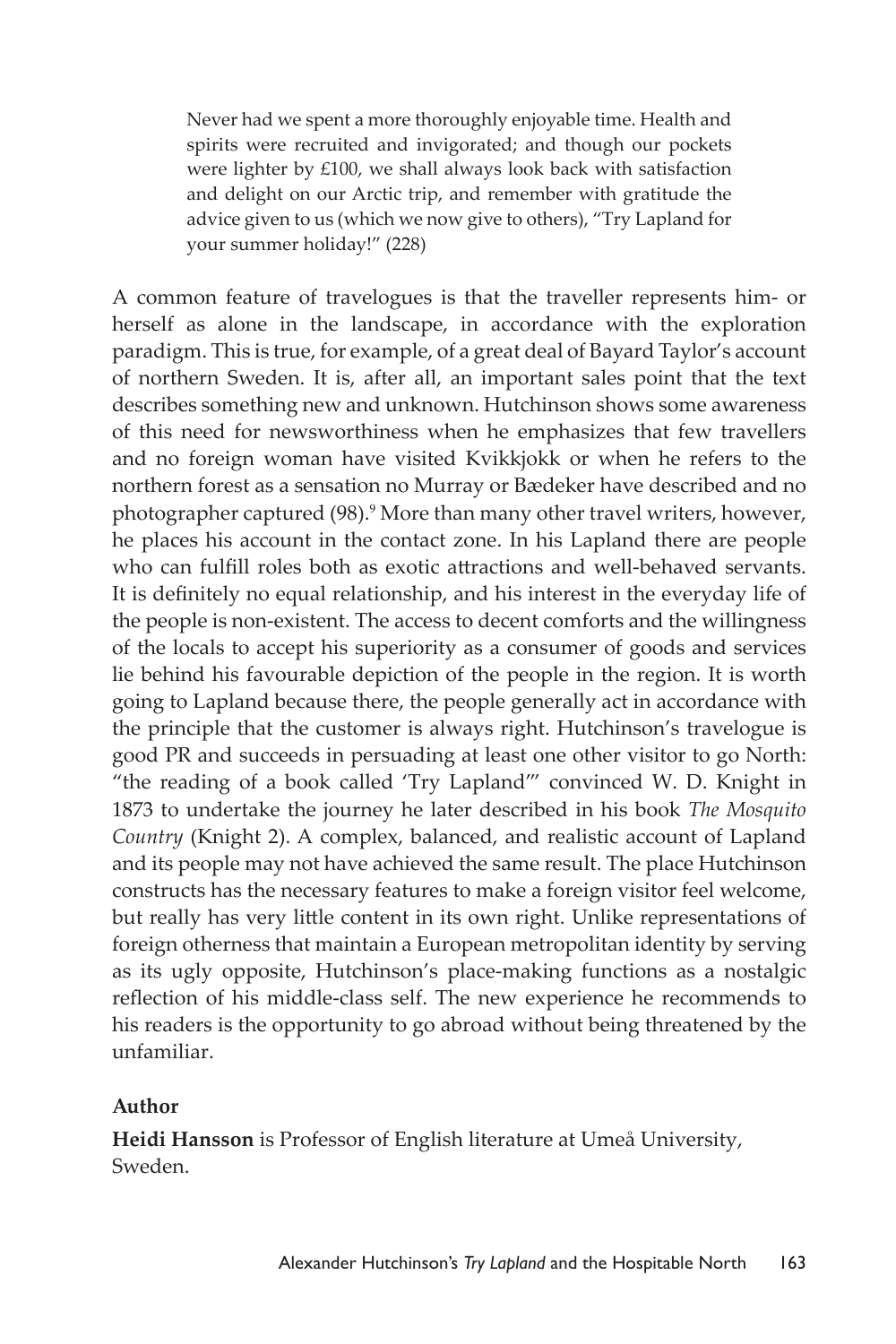Never had we spent a more thoroughly enjoyable time. Health and spirits were recruited and invigorated; and though our pockets were lighter by £100, we shall always look back with satisfaction and delight on our Arctic trip, and remember with gratitude the advice given to us (which we now give to others), "Try Lapland for your summer holiday!" (228)

A common feature of travelogues is that the traveller represents him- or herself as alone in the landscape, in accordance with the exploration paradigm. This is true, for example, of a great deal of Bayard Taylor's account of northern Sweden. It is, after all, an important sales point that the text describes something new and unknown. Hutchinson shows some awareness of this need for newsworthiness when he emphasizes that few travellers and no foreign woman have visited Kvikkjokk or when he refers to the northern forest as a sensation no Murray or Bædeker have described and no photographer captured (98).<sup>9</sup> More than many other travel writers, however, he places his account in the contact zone. In his Lapland there are people who can fulfill roles both as exotic attractions and well-behaved servants. It is definitely no equal relationship, and his interest in the everyday life of the people is non-existent. The access to decent comforts and the willingness of the locals to accept his superiority as a consumer of goods and services lie behind his favourable depiction of the people in the region. It is worth going to Lapland because there, the people generally act in accordance with the principle that the customer is always right. Hutchinson's travelogue is good PR and succeeds in persuading at least one other visitor to go North: "the reading of a book called 'Try Lapland'" convinced W. D. Knight in 1873 to undertake the journey he later described in his book *The Mosquito Country* (Knight 2). A complex, balanced, and realistic account of Lapland and its people may not have achieved the same result. The place Hutchinson constructs has the necessary features to make a foreign visitor feel welcome, but really has very little content in its own right. Unlike representations of foreign otherness that maintain a European metropolitan identity by serving as its ugly opposite, Hutchinson's place-making functions as a nostalgic reflection of his middle-class self. The new experience he recommends to his readers is the opportunity to go abroad without being threatened by the unfamiliar.

#### **Author**

**Heidi Hansson** is Professor of English literature at Umeå University, Sweden.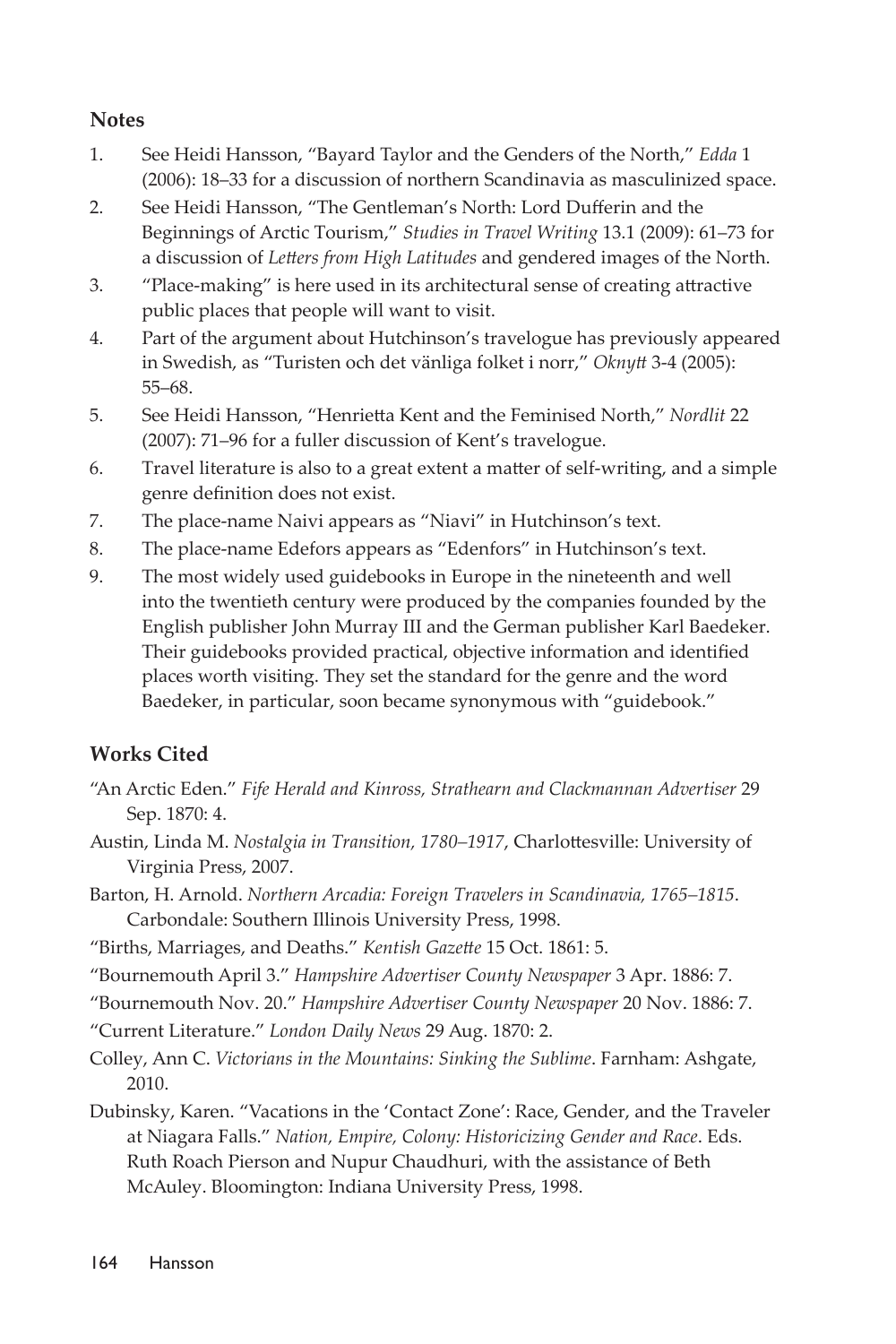#### **Notes**

- 1. See Heidi Hansson, "Bayard Taylor and the Genders of the North," *Edda* 1 (2006): 18–33 for a discussion of northern Scandinavia as masculinized space.
- 2. See Heidi Hansson, "The Gentleman's North: Lord Dufferin and the Beginnings of Arctic Tourism," *Studies in Travel Writing* 13.1 (2009): 61–73 for a discussion of *Letters from High Latitudes* and gendered images of the North.
- 3. "Place-making" is here used in its architectural sense of creating attractive public places that people will want to visit.
- 4. Part of the argument about Hutchinson's travelogue has previously appeared in Swedish, as "Turisten och det vänliga folket i norr," *Oknytt* 3-4 (2005): 55–68.
- 5. See Heidi Hansson, "Henrietta Kent and the Feminised North," *Nordlit* 22 (2007): 71–96 for a fuller discussion of Kent's travelogue.
- 6. Travel literature is also to a great extent a matter of self-writing, and a simple genre definition does not exist.
- 7. The place-name Naivi appears as "Niavi" in Hutchinson's text.
- 8. The place-name Edefors appears as "Edenfors" in Hutchinson's text.
- 9. The most widely used guidebooks in Europe in the nineteenth and well into the twentieth century were produced by the companies founded by the English publisher John Murray III and the German publisher Karl Baedeker. Their guidebooks provided practical, objective information and identified places worth visiting. They set the standard for the genre and the word Baedeker, in particular, soon became synonymous with "guidebook."

### **Works Cited**

- "An Arctic Eden." *Fife Herald and Kinross, Strathearn and Clackmannan Advertiser* 29 Sep. 1870: 4.
- Austin, Linda M. *Nostalgia in Transition, 1780–1917*, Charlottesville: University of Virginia Press, 2007.
- Barton, H. Arnold. *Northern Arcadia: Foreign Travelers in Scandinavia, 1765–1815*. Carbondale: Southern Illinois University Press, 1998.
- "Births, Marriages, and Deaths." *Kentish Gazette* 15 Oct. 1861: 5.
- "Bournemouth April 3." *Hampshire Advertiser County Newspaper* 3 Apr. 1886: 7.

"Bournemouth Nov. 20." *Hampshire Advertiser County Newspaper* 20 Nov. 1886: 7.

"Current Literature." *London Daily News* 29 Aug. 1870: 2.

- Colley, Ann C. *Victorians in the Mountains: Sinking the Sublime*. Farnham: Ashgate, 2010.
- Dubinsky, Karen. "Vacations in the 'Contact Zone': Race, Gender, and the Traveler at Niagara Falls." *Nation, Empire, Colony: Historicizing Gender and Race*. Eds. Ruth Roach Pierson and Nupur Chaudhuri, with the assistance of Beth McAuley. Bloomington: Indiana University Press, 1998.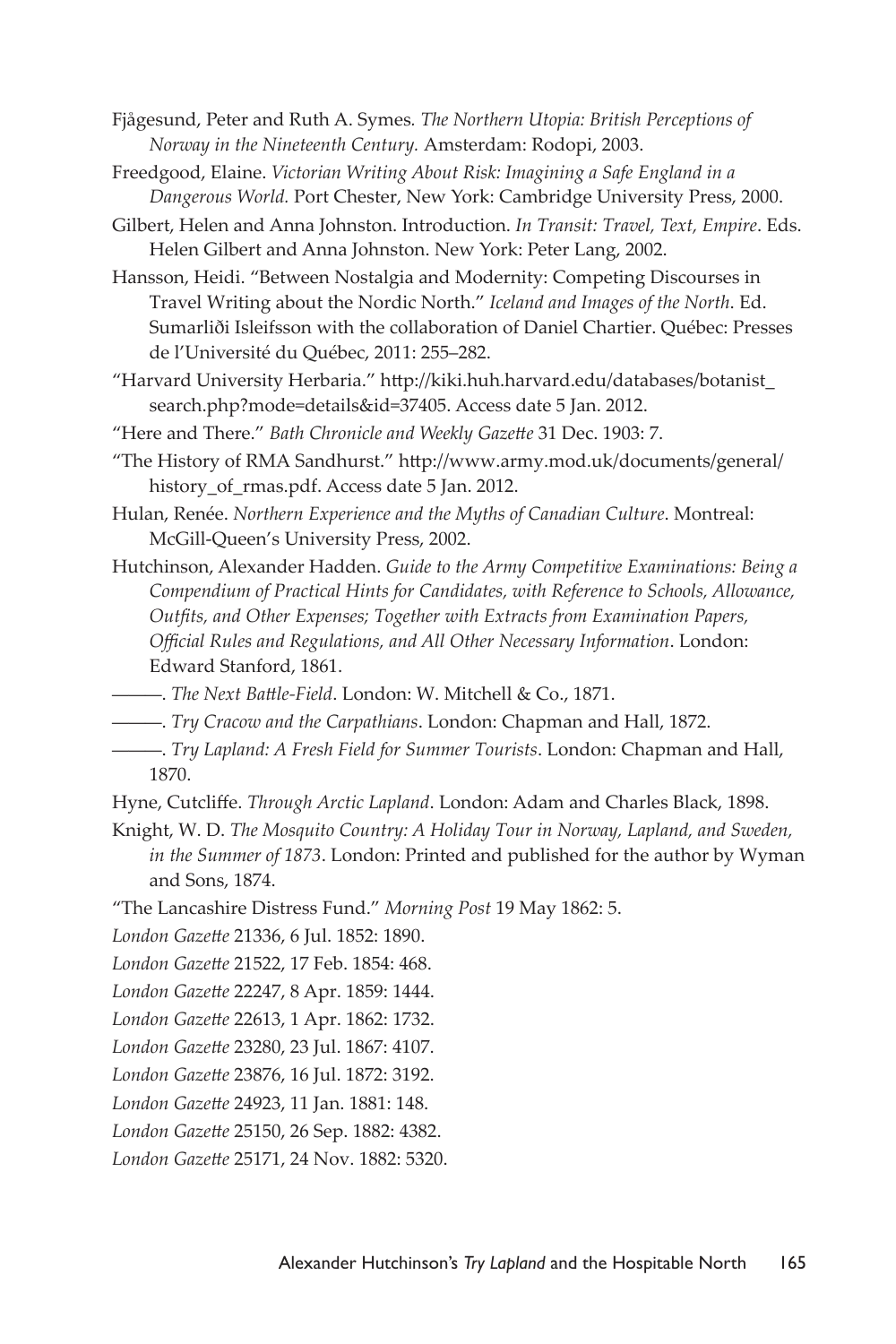Fjågesund, Peter and Ruth A. Symes*. The Northern Utopia: British Perceptions of Norway in the Nineteenth Century.* Amsterdam: Rodopi, 2003.

Freedgood, Elaine. *Victorian Writing About Risk: Imagining a Safe England in a Dangerous World.* Port Chester, New York: Cambridge University Press, 2000.

Gilbert, Helen and Anna Johnston. Introduction. *In Transit: Travel, Text, Empire*. Eds. Helen Gilbert and Anna Johnston. New York: Peter Lang, 2002.

Hansson, Heidi. "Between Nostalgia and Modernity: Competing Discourses in Travel Writing about the Nordic North." *Iceland and Images of the North*. Ed. Sumarliði Isleifsson with the collaboration of Daniel Chartier. Québec: Presses de l'Université du Québec, 2011: 255–282.

"Harvard University Herbaria." http://kiki.huh.harvard.edu/databases/botanist\_ search.php?mode=details&id=37405. Access date 5 Jan. 2012.

"Here and There." *Bath Chronicle and Weekly Gazette* 31 Dec. 1903: 7.

"The History of RMA Sandhurst." http://www.army.mod.uk/documents/general/ history\_of\_rmas.pdf. Access date 5 Jan. 2012.

Hulan, Renée. *Northern Experience and the Myths of Canadian Culture*. Montreal: McGill-Queen's University Press, 2002.

Hutchinson, Alexander Hadden. *Guide to the Army Competitive Examinations: Being a Compendium of Practical Hints for Candidates, with Reference to Schools, Allowance, Outfits, and Other Expenses; Together with Extracts from Examination Papers, Official Rules and Regulations, and All Other Necessary Information*. London: Edward Stanford, 1861.

———. *The Next Battle-Field*. London: W. Mitchell & Co., 1871.

———. *Try Cracow and the Carpathians*. London: Chapman and Hall, 1872.

———. *Try Lapland: A Fresh Field for Summer Tourists*. London: Chapman and Hall, 1870.

Hyne, Cutcliffe. *Through Arctic Lapland*. London: Adam and Charles Black, 1898.

Knight, W. D. *The Mosquito Country: A Holiday Tour in Norway, Lapland, and Sweden, in the Summer of 1873*. London: Printed and published for the author by Wyman and Sons, 1874.

"The Lancashire Distress Fund." *Morning Post* 19 May 1862: 5.

*London Gazette* 21336, 6 Jul. 1852: 1890.

*London Gazette* 21522, 17 Feb. 1854: 468.

*London Gazette* 22247, 8 Apr. 1859: 1444.

*London Gazette* 22613, 1 Apr. 1862: 1732.

*London Gazette* 23280, 23 Jul. 1867: 4107.

*London Gazette* 23876, 16 Jul. 1872: 3192.

*London Gazette* 24923, 11 Jan. 1881: 148.

*London Gazette* 25150, 26 Sep. 1882: 4382.

*London Gazette* 25171, 24 Nov. 1882: 5320.